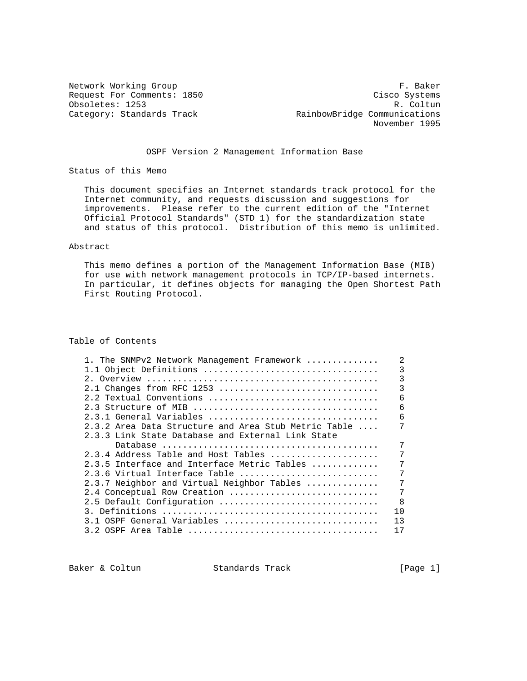Network Working Group F. Baker Request For Comments: 1850 Cisco Systems Obsoletes: 1253 R. Coltun<br>Category: Standards Track RainbowBridge Communications RainbowBridge Communications November 1995

# OSPF Version 2 Management Information Base

Status of this Memo

 This document specifies an Internet standards track protocol for the Internet community, and requests discussion and suggestions for improvements. Please refer to the current edition of the "Internet Official Protocol Standards" (STD 1) for the standardization state and status of this protocol. Distribution of this memo is unlimited.

## Abstract

 This memo defines a portion of the Management Information Base (MIB) for use with network management protocols in TCP/IP-based internets. In particular, it defines objects for managing the Open Shortest Path First Routing Protocol.

# Table of Contents

| 1. The SNMPv2 Network Management Framework                      |                |
|-----------------------------------------------------------------|----------------|
| 1.1 Object Definitions                                          | 3              |
|                                                                 | 3              |
| 2.1 Changes from RFC 1253                                       | 3              |
| 2.2 Textual Conventions                                         | 6              |
|                                                                 | 6              |
| 2.3.1 General Variables                                         | 6              |
| $2.3.2$ Area Data Structure and Area Stub Metric Table $\ldots$ |                |
| 2.3.3 Link State Database and External Link State               |                |
|                                                                 |                |
| $2.3.4$ Address Table and Host Tables                           | 7              |
| 2.3.5 Interface and Interface Metric Tables                     | 7              |
| 2.3.6 Virtual Interface Table                                   | 7              |
| 2.3.7 Neighbor and Virtual Neighbor Tables                      | 7              |
| 2.4 Conceptual Row Creation                                     | 7              |
| 2.5 Default Configuration                                       | 8              |
|                                                                 | 1 <sub>0</sub> |
| 3.1 OSPF General Variables                                      | 13             |
|                                                                 | 17             |
|                                                                 |                |

Baker & Coltun Standards Track [Page 1]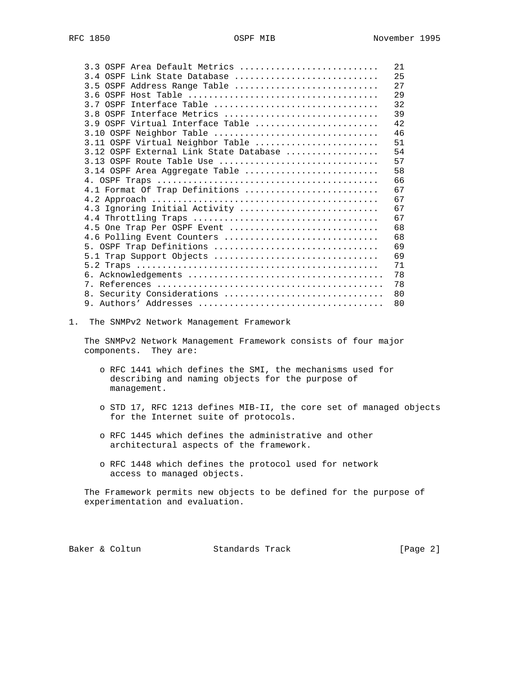| 3.3 OSPF Area Default Metrics          | 21 |
|----------------------------------------|----|
| 3.4 OSPF Link State Database           | 25 |
| 3.5 OSPF Address Range Table           | 27 |
|                                        | 29 |
| 3.7 OSPF Interface Table               | 32 |
| 3.8 OSPF Interface Metrics             | 39 |
| 3.9 OSPF Virtual Interface Table       | 42 |
| 3.10 OSPF Neighbor Table               | 46 |
| 3.11 OSPF Virtual Neighbor Table       | 51 |
| 3.12 OSPF External Link State Database | 54 |
| 3.13 OSPF Route Table Use              | 57 |
| 3.14 OSPF Area Aggregate Table         | 58 |
|                                        | 66 |
| 4.1 Format Of Trap Definitions         | 67 |
|                                        | 67 |
| 4.3 Ignoring Initial Activity          | 67 |
|                                        | 67 |
| 4.5 One Trap Per OSPF Event            | 68 |
| 4.6 Polling Event Counters             | 68 |
| 5. OSPF Trap Definitions               | 69 |
| 5.1 Trap Support Objects               | 69 |
|                                        | 71 |
|                                        | 78 |
|                                        | 78 |
| 8. Security Considerations             | 80 |
|                                        | 80 |

1. The SNMPv2 Network Management Framework

 The SNMPv2 Network Management Framework consists of four major components. They are:

- o RFC 1441 which defines the SMI, the mechanisms used for describing and naming objects for the purpose of management.
- o STD 17, RFC 1213 defines MIB-II, the core set of managed objects for the Internet suite of protocols.
- o RFC 1445 which defines the administrative and other architectural aspects of the framework.
- o RFC 1448 which defines the protocol used for network access to managed objects.

 The Framework permits new objects to be defined for the purpose of experimentation and evaluation.

Baker & Coltun Standards Track [Page 2]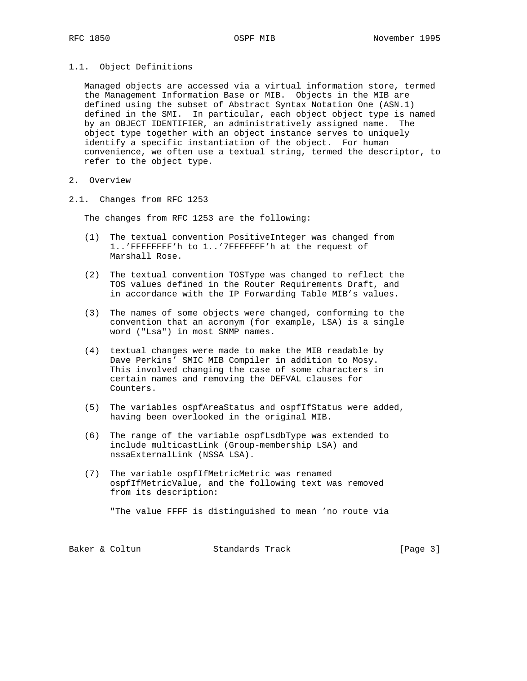# 1.1. Object Definitions

 Managed objects are accessed via a virtual information store, termed the Management Information Base or MIB. Objects in the MIB are defined using the subset of Abstract Syntax Notation One (ASN.1) defined in the SMI. In particular, each object object type is named by an OBJECT IDENTIFIER, an administratively assigned name. The object type together with an object instance serves to uniquely identify a specific instantiation of the object. For human convenience, we often use a textual string, termed the descriptor, to refer to the object type.

- 2. Overview
- 2.1. Changes from RFC 1253

The changes from RFC 1253 are the following:

- (1) The textual convention PositiveInteger was changed from 1..'FFFFFFFF'h to 1..'7FFFFFFF'h at the request of Marshall Rose.
- (2) The textual convention TOSType was changed to reflect the TOS values defined in the Router Requirements Draft, and in accordance with the IP Forwarding Table MIB's values.
- (3) The names of some objects were changed, conforming to the convention that an acronym (for example, LSA) is a single word ("Lsa") in most SNMP names.
- (4) textual changes were made to make the MIB readable by Dave Perkins' SMIC MIB Compiler in addition to Mosy. This involved changing the case of some characters in certain names and removing the DEFVAL clauses for Counters.
- (5) The variables ospfAreaStatus and ospfIfStatus were added, having been overlooked in the original MIB.
- (6) The range of the variable ospfLsdbType was extended to include multicastLink (Group-membership LSA) and nssaExternalLink (NSSA LSA).
- (7) The variable ospfIfMetricMetric was renamed ospfIfMetricValue, and the following text was removed from its description:

"The value FFFF is distinguished to mean 'no route via

| Standards Track<br>Baker & Coltun | [Page 3] |
|-----------------------------------|----------|
|                                   |          |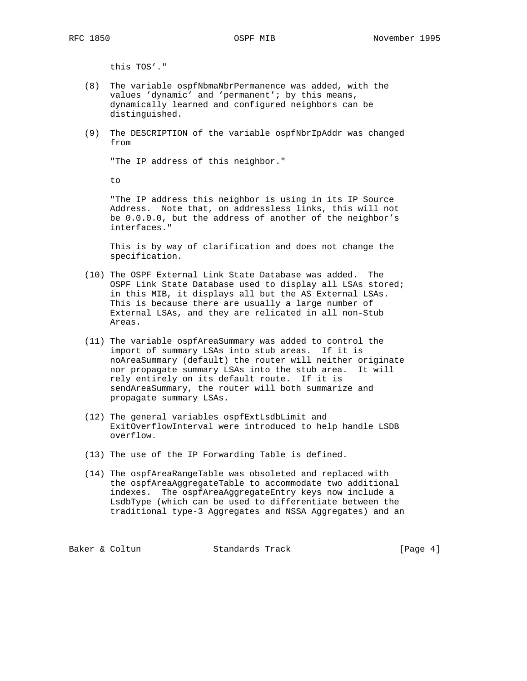this TOS'."

- (8) The variable ospfNbmaNbrPermanence was added, with the values 'dynamic' and 'permanent'; by this means, dynamically learned and configured neighbors can be distinguished.
- (9) The DESCRIPTION of the variable ospfNbrIpAddr was changed from

"The IP address of this neighbor."

to

 "The IP address this neighbor is using in its IP Source Address. Note that, on addressless links, this will not be 0.0.0.0, but the address of another of the neighbor's interfaces."

 This is by way of clarification and does not change the specification.

- (10) The OSPF External Link State Database was added. The OSPF Link State Database used to display all LSAs stored; in this MIB, it displays all but the AS External LSAs. This is because there are usually a large number of External LSAs, and they are relicated in all non-Stub Areas.
- (11) The variable ospfAreaSummary was added to control the import of summary LSAs into stub areas. If it is noAreaSummary (default) the router will neither originate nor propagate summary LSAs into the stub area. It will rely entirely on its default route. If it is sendAreaSummary, the router will both summarize and propagate summary LSAs.
- (12) The general variables ospfExtLsdbLimit and ExitOverflowInterval were introduced to help handle LSDB overflow.
- (13) The use of the IP Forwarding Table is defined.
- (14) The ospfAreaRangeTable was obsoleted and replaced with the ospfAreaAggregateTable to accommodate two additional indexes. The ospfAreaAggregateEntry keys now include a LsdbType (which can be used to differentiate between the traditional type-3 Aggregates and NSSA Aggregates) and an

Baker & Coltun Standards Track [Page 4]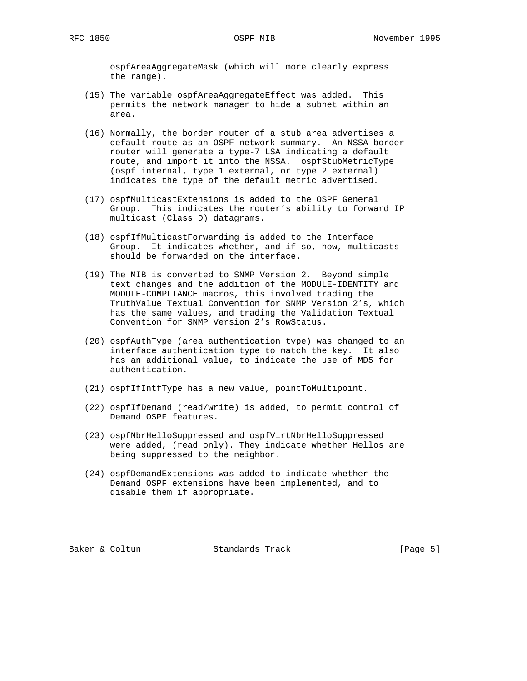ospfAreaAggregateMask (which will more clearly express the range).

- (15) The variable ospfAreaAggregateEffect was added. This permits the network manager to hide a subnet within an area.
- (16) Normally, the border router of a stub area advertises a default route as an OSPF network summary. An NSSA border router will generate a type-7 LSA indicating a default route, and import it into the NSSA. ospfStubMetricType (ospf internal, type 1 external, or type 2 external) indicates the type of the default metric advertised.
- (17) ospfMulticastExtensions is added to the OSPF General Group. This indicates the router's ability to forward IP multicast (Class D) datagrams.
- (18) ospfIfMulticastForwarding is added to the Interface Group. It indicates whether, and if so, how, multicasts should be forwarded on the interface.
- (19) The MIB is converted to SNMP Version 2. Beyond simple text changes and the addition of the MODULE-IDENTITY and MODULE-COMPLIANCE macros, this involved trading the TruthValue Textual Convention for SNMP Version 2's, which has the same values, and trading the Validation Textual Convention for SNMP Version 2's RowStatus.
- (20) ospfAuthType (area authentication type) was changed to an interface authentication type to match the key. It also has an additional value, to indicate the use of MD5 for authentication.
- (21) ospfIfIntfType has a new value, pointToMultipoint.
- (22) ospfIfDemand (read/write) is added, to permit control of Demand OSPF features.
- (23) ospfNbrHelloSuppressed and ospfVirtNbrHelloSuppressed were added, (read only). They indicate whether Hellos are being suppressed to the neighbor.
- (24) ospfDemandExtensions was added to indicate whether the Demand OSPF extensions have been implemented, and to disable them if appropriate.

Baker & Coltun **Standards Track** [Page 5]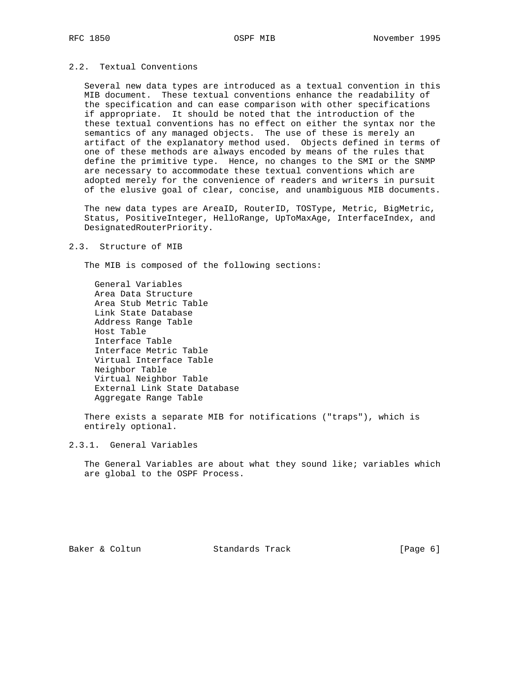# 2.2. Textual Conventions

 Several new data types are introduced as a textual convention in this MIB document. These textual conventions enhance the readability of the specification and can ease comparison with other specifications if appropriate. It should be noted that the introduction of the these textual conventions has no effect on either the syntax nor the semantics of any managed objects. The use of these is merely an artifact of the explanatory method used. Objects defined in terms of one of these methods are always encoded by means of the rules that define the primitive type. Hence, no changes to the SMI or the SNMP are necessary to accommodate these textual conventions which are adopted merely for the convenience of readers and writers in pursuit of the elusive goal of clear, concise, and unambiguous MIB documents.

The new data types are AreaID, RouterID, TOSType, Metric, BigMetric, Status, PositiveInteger, HelloRange, UpToMaxAge, InterfaceIndex, and DesignatedRouterPriority.

### 2.3. Structure of MIB

The MIB is composed of the following sections:

 General Variables Area Data Structure Area Stub Metric Table Link State Database Address Range Table Host Table Interface Table Interface Metric Table Virtual Interface Table Neighbor Table Virtual Neighbor Table External Link State Database Aggregate Range Table

 There exists a separate MIB for notifications ("traps"), which is entirely optional.

## 2.3.1. General Variables

The General Variables are about what they sound like; variables which are global to the OSPF Process.

Baker & Coltun Standards Track [Page 6]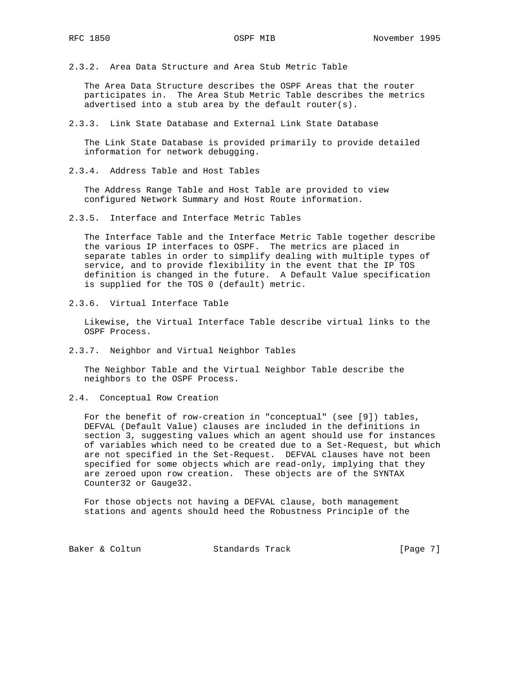2.3.2. Area Data Structure and Area Stub Metric Table

 The Area Data Structure describes the OSPF Areas that the router participates in. The Area Stub Metric Table describes the metrics advertised into a stub area by the default router(s).

2.3.3. Link State Database and External Link State Database

 The Link State Database is provided primarily to provide detailed information for network debugging.

2.3.4. Address Table and Host Tables

 The Address Range Table and Host Table are provided to view configured Network Summary and Host Route information.

2.3.5. Interface and Interface Metric Tables

 The Interface Table and the Interface Metric Table together describe the various IP interfaces to OSPF. The metrics are placed in separate tables in order to simplify dealing with multiple types of service, and to provide flexibility in the event that the IP TOS definition is changed in the future. A Default Value specification is supplied for the TOS 0 (default) metric.

2.3.6. Virtual Interface Table

 Likewise, the Virtual Interface Table describe virtual links to the OSPF Process.

2.3.7. Neighbor and Virtual Neighbor Tables

 The Neighbor Table and the Virtual Neighbor Table describe the neighbors to the OSPF Process.

2.4. Conceptual Row Creation

 For the benefit of row-creation in "conceptual" (see [9]) tables, DEFVAL (Default Value) clauses are included in the definitions in section 3, suggesting values which an agent should use for instances of variables which need to be created due to a Set-Request, but which are not specified in the Set-Request. DEFVAL clauses have not been specified for some objects which are read-only, implying that they are zeroed upon row creation. These objects are of the SYNTAX Counter32 or Gauge32.

 For those objects not having a DEFVAL clause, both management stations and agents should heed the Robustness Principle of the

Baker & Coltun Standards Track [Page 7]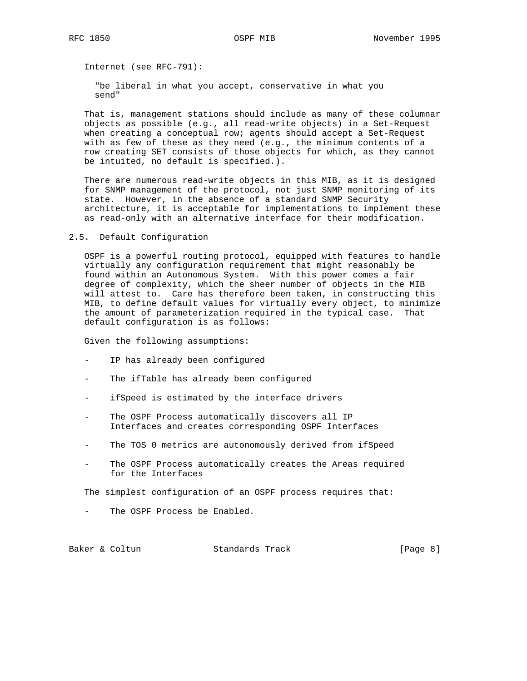Internet (see RFC-791):

 "be liberal in what you accept, conservative in what you send"

 That is, management stations should include as many of these columnar objects as possible (e.g., all read-write objects) in a Set-Request when creating a conceptual row; agents should accept a Set-Request with as few of these as they need (e.g., the minimum contents of a row creating SET consists of those objects for which, as they cannot be intuited, no default is specified.).

 There are numerous read-write objects in this MIB, as it is designed for SNMP management of the protocol, not just SNMP monitoring of its state. However, in the absence of a standard SNMP Security architecture, it is acceptable for implementations to implement these as read-only with an alternative interface for their modification.

### 2.5. Default Configuration

 OSPF is a powerful routing protocol, equipped with features to handle virtually any configuration requirement that might reasonably be found within an Autonomous System. With this power comes a fair degree of complexity, which the sheer number of objects in the MIB will attest to. Care has therefore been taken, in constructing this MIB, to define default values for virtually every object, to minimize the amount of parameterization required in the typical case. That default configuration is as follows:

Given the following assumptions:

- IP has already been configured
- The ifTable has already been configured
- ifSpeed is estimated by the interface drivers
- The OSPF Process automatically discovers all IP Interfaces and creates corresponding OSPF Interfaces
- The TOS 0 metrics are autonomously derived from ifSpeed
- The OSPF Process automatically creates the Areas required for the Interfaces

The simplest configuration of an OSPF process requires that:

The OSPF Process be Enabled.

Baker & Coltun Standards Track [Page 8]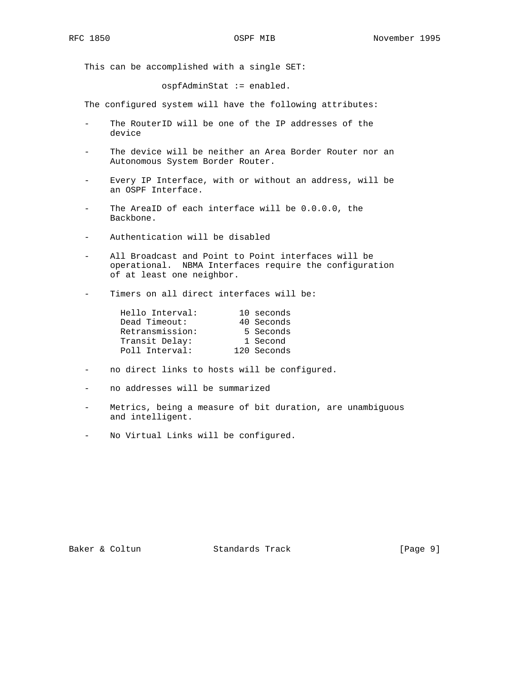This can be accomplished with a single SET:

ospfAdminStat := enabled.

The configured system will have the following attributes:

- The RouterID will be one of the IP addresses of the device
- The device will be neither an Area Border Router nor an Autonomous System Border Router.
- Every IP Interface, with or without an address, will be an OSPF Interface.
- The AreaID of each interface will be 0.0.0.0, the Backbone.
- Authentication will be disabled
- All Broadcast and Point to Point interfaces will be operational. NBMA Interfaces require the configuration of at least one neighbor.
- Timers on all direct interfaces will be:

| Hello Interval: | 10 seconds  |
|-----------------|-------------|
| Dead Timeout:   | 40 Seconds  |
| Retransmission: | 5 Seconds   |
| Transit Delay:  | 1 Second    |
| Poll Interval:  | 120 Seconds |

- no direct links to hosts will be configured.
- no addresses will be summarized
- Metrics, being a measure of bit duration, are unambiguous and intelligent.
- No Virtual Links will be configured.

Baker & Coltun Standards Track [Page 9]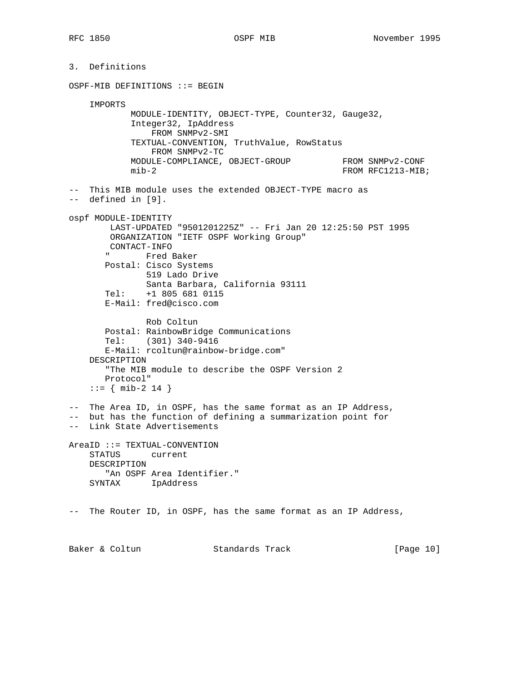3. Definitions OSPF-MIB DEFINITIONS ::= BEGIN IMPORTS MODULE-IDENTITY, OBJECT-TYPE, Counter32, Gauge32, Integer32, IpAddress FROM SNMPv2-SMI TEXTUAL-CONVENTION, TruthValue, RowStatus FROM SNMPv2-TC MODULE-COMPLIANCE, OBJECT-GROUP FROM SNMPv2-CONF MODULE-COMPLIANCE, UBULLI-GROUP<br>mib-2 FROM RFC1213-MIB; -- This MIB module uses the extended OBJECT-TYPE macro as -- defined in [9]. ospf MODULE-IDENTITY LAST-UPDATED "9501201225Z" -- Fri Jan 20 12:25:50 PST 1995 ORGANIZATION "IETF OSPF Working Group" CONTACT-INFO " Fred Baker Postal: Cisco Systems 519 Lado Drive Santa Barbara, California 93111 Tel: +1 805 681 0115 E-Mail: fred@cisco.com Rob Coltun Postal: RainbowBridge Communications Tel: (301) 340-9416 E-Mail: rcoltun@rainbow-bridge.com" DESCRIPTION "The MIB module to describe the OSPF Version 2 Protocol"  $: := \{ \text{min-2 14 } \}$ -- The Area ID, in OSPF, has the same format as an IP Address, -- but has the function of defining a summarization point for -- Link State Advertisements AreaID ::= TEXTUAL-CONVENTION STATUS current DESCRIPTION "An OSPF Area Identifier." SYNTAX IpAddress -- The Router ID, in OSPF, has the same format as an IP Address,

Baker & Coltun Standards Track [Page 10]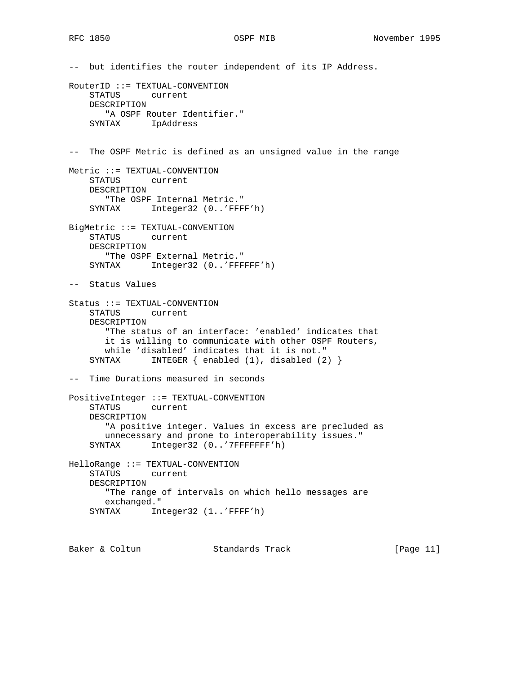-- but identifies the router independent of its IP Address. RouterID ::= TEXTUAL-CONVENTION STATUS current DESCRIPTION "A OSPF Router Identifier." SYNTAX IpAddress -- The OSPF Metric is defined as an unsigned value in the range Metric ::= TEXTUAL-CONVENTION STATUS current DESCRIPTION "The OSPF Internal Metric." SYNTAX Integer32 (0..'FFFF'h) BigMetric ::= TEXTUAL-CONVENTION<br>STATUS current current DESCRIPTION "The OSPF External Metric." SYNTAX Integer32 (0..'FFFFFF'h) -- Status Values Status ::= TEXTUAL-CONVENTION STATUS current DESCRIPTION "The status of an interface: 'enabled' indicates that it is willing to communicate with other OSPF Routers, while 'disabled' indicates that it is not." SYNTAX INTEGER { enabled (1), disabled (2) } -- Time Durations measured in seconds PositiveInteger ::= TEXTUAL-CONVENTION STATUS current DESCRIPTION "A positive integer. Values in excess are precluded as unnecessary and prone to interoperability issues." SYNTAX Integer32 (0..'7FFFFFFF'h) HelloRange ::= TEXTUAL-CONVENTION STATUS current DESCRIPTION "The range of intervals on which hello messages are exchanged." SYNTAX Integer32 (1..'FFFF'h)

Baker & Coltun Standards Track [Page 11]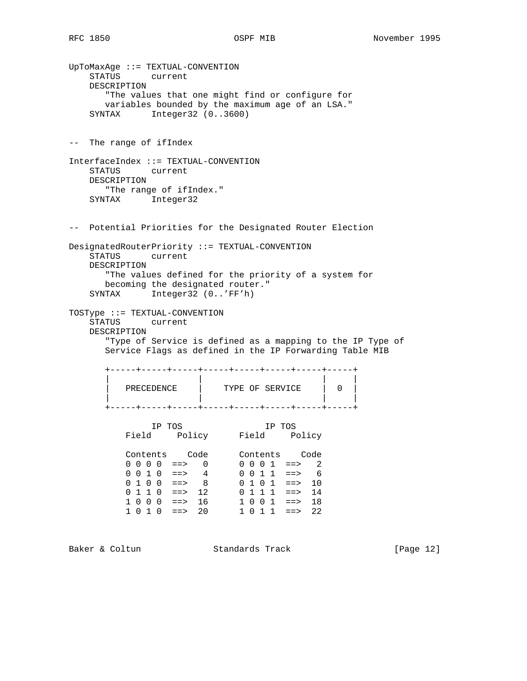UpToMaxAge ::= TEXTUAL-CONVENTION STATUS current DESCRIPTION "The values that one might find or configure for variables bounded by the maximum age of an LSA." SYNTAX Integer32 (0..3600) -- The range of ifIndex InterfaceIndex ::= TEXTUAL-CONVENTION STATUS current DESCRIPTION "The range of ifIndex." SYNTAX Integer32 -- Potential Priorities for the Designated Router Election DesignatedRouterPriority ::= TEXTUAL-CONVENTION STATUS current DESCRIPTION "The values defined for the priority of a system for becoming the designated router." SYNTAX Integer32 (0..'FF'h) TOSType ::= TEXTUAL-CONVENTION STATUS current DESCRIPTION "Type of Service is defined as a mapping to the IP Type of Service Flags as defined in the IP Forwarding Table MIB +-----+-----+-----+-----+-----+-----+-----+-----+ | | | | PRECEDENCE | TYPE OF SERVICE | 0 | | | | | +-----+-----+-----+-----+-----+-----+-----+-----+ IP TOS IP TOS Field Policy Field Policy Contents Code Contents Code  $0 \t0 \t0 \t0 \t1 \t= > 0$  0 0 0 1 ==> 2 0 0 1 0 ==> 4 0 0 1 1 ==> 6  $0 1 0 0$  ==> 8 0 1 0 1 ==> 10 0 1 1 0 ==> 12 0 1 1 1 ==> 14 1 0 0 0 ==> 16 1 0 0 1 ==> 18 1 0 1 0 ==> 20 1 0 1 1 ==> 22

Baker & Coltun Standards Track [Page 12]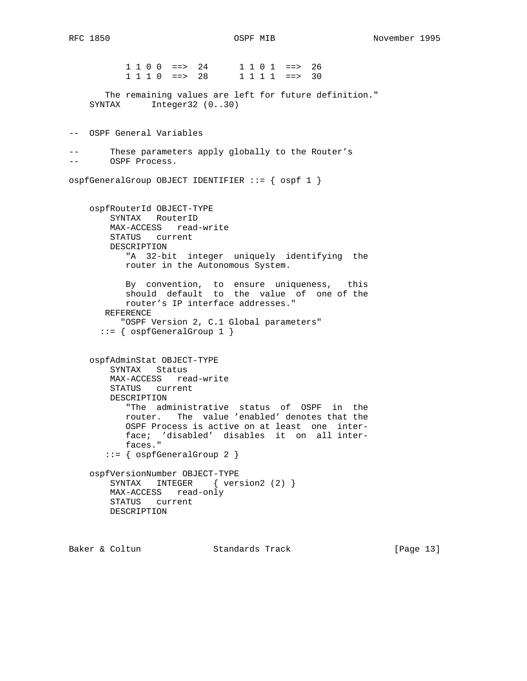1 1 0 0 ==> 24 1 1 0 1 ==> 26 1 1 1 0 ==> 28 1 1 1 1 ==> 30 The remaining values are left for future definition." SYNTAX Integer32 (0..30) -- OSPF General Variables -- These parameters apply globally to the Router's -- OSPF Process. ospfGeneralGroup OBJECT IDENTIFIER ::= { ospf 1 } ospfRouterId OBJECT-TYPE SYNTAX RouterID MAX-ACCESS read-write STATUS current DESCRIPTION "A 32-bit integer uniquely identifying the router in the Autonomous System. By convention, to ensure uniqueness, this should default to the value of one of the router's IP interface addresses." REFERENCE "OSPF Version 2, C.1 Global parameters" ::= { ospfGeneralGroup 1 } ospfAdminStat OBJECT-TYPE SYNTAX Status MAX-ACCESS read-write STATUS current DESCRIPTION "The administrative status of OSPF in the router. The value 'enabled' denotes that the OSPF Process is active on at least one inter face; 'disabled' disables it on all inter faces." ::= { ospfGeneralGroup 2 } ospfVersionNumber OBJECT-TYPE SYNTAX INTEGER { version2 (2) } MAX-ACCESS read-only STATUS current DESCRIPTION

Baker & Coltun Standards Track [Page 13]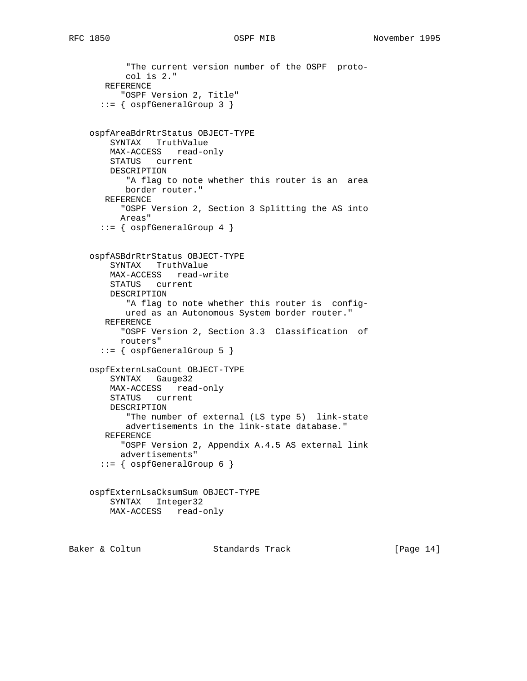```
RFC 1850 OSPF MIB November 1995
```

```
 "The current version number of the OSPF proto-
        col is 2."
   REFERENCE
       "OSPF Version 2, Title"
   ::= { ospfGeneralGroup 3 }
 ospfAreaBdrRtrStatus OBJECT-TYPE
    SYNTAX TruthValue
    MAX-ACCESS read-only
    STATUS current
    DESCRIPTION
        "A flag to note whether this router is an area
       border router."
   REFERENCE
       "OSPF Version 2, Section 3 Splitting the AS into
      Areas"
   ::= { ospfGeneralGroup 4 }
 ospfASBdrRtrStatus OBJECT-TYPE
     SYNTAX TruthValue
    MAX-ACCESS read-write
    STATUS current
    DESCRIPTION
        "A flag to note whether this router is config-
       ured as an Autonomous System border router."
   REFERENCE
       "OSPF Version 2, Section 3.3 Classification of
       routers"
   ::= { ospfGeneralGroup 5 }
 ospfExternLsaCount OBJECT-TYPE
    SYNTAX Gauge32
    MAX-ACCESS read-only
    STATUS current
    DESCRIPTION
       "The number of external (LS type 5) link-state
       advertisements in the link-state database."
   REFERENCE
       "OSPF Version 2, Appendix A.4.5 AS external link
      advertisements"
   ::= { ospfGeneralGroup 6 }
 ospfExternLsaCksumSum OBJECT-TYPE
    SYNTAX Integer32
    MAX-ACCESS read-only
```
Baker & Coltun Standards Track [Page 14]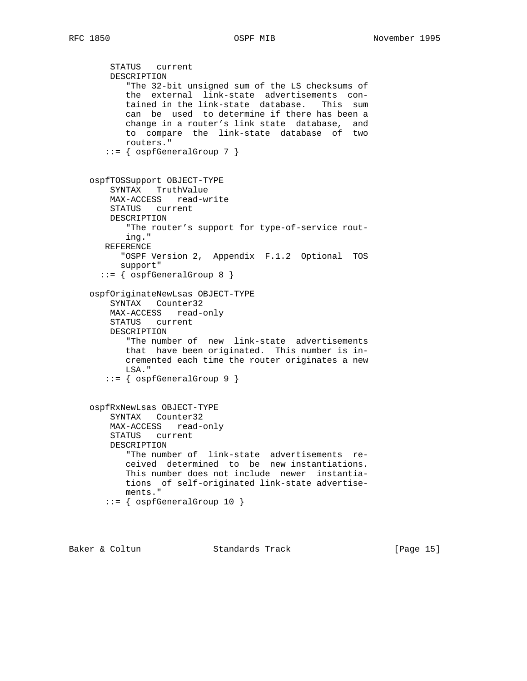```
 STATUS current
    DESCRIPTION
        "The 32-bit unsigned sum of the LS checksums of
       the external link-state advertisements con-
       tained in the link-state database. This sum
       can be used to determine if there has been a
       change in a router's link state database, and
       to compare the link-state database of two
       routers."
    ::= { ospfGeneralGroup 7 }
 ospfTOSSupport OBJECT-TYPE
     SYNTAX TruthValue
    MAX-ACCESS read-write
    STATUS current
    DESCRIPTION
       "The router's support for type-of-service rout-
       ing."
   REFERENCE
      "OSPF Version 2, Appendix F.1.2 Optional TOS
      support"
   ::= { ospfGeneralGroup 8 }
 ospfOriginateNewLsas OBJECT-TYPE
     SYNTAX Counter32
    MAX-ACCESS read-only
    STATUS current
    DESCRIPTION
        "The number of new link-state advertisements
       that have been originated. This number is in-
       cremented each time the router originates a new
       LSA."
    ::= { ospfGeneralGroup 9 }
 ospfRxNewLsas OBJECT-TYPE
     SYNTAX Counter32
    MAX-ACCESS read-only
    STATUS current
    DESCRIPTION
        "The number of link-state advertisements re-
       ceived determined to be new instantiations.
       This number does not include newer instantia-
       tions of self-originated link-state advertise-
       ments."
    ::= { ospfGeneralGroup 10 }
```
Baker & Coltun Standards Track [Page 15]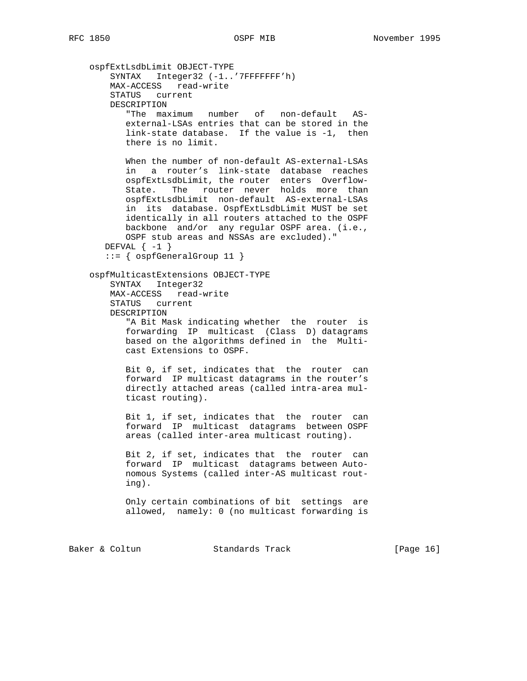```
 ospfExtLsdbLimit OBJECT-TYPE
   SYNTAX Integer32 (-1..'7FFFFFFF'h)
    MAX-ACCESS read-write
    STATUS current
    DESCRIPTION
       "The maximum number of non-default AS-
       external-LSAs entries that can be stored in the
       link-state database. If the value is -1, then
       there is no limit.
       When the number of non-default AS-external-LSAs
       in a router's link-state database reaches
       ospfExtLsdbLimit, the router enters Overflow-
       State. The router never holds more than
       ospfExtLsdbLimit non-default AS-external-LSAs
       in its database. OspfExtLsdbLimit MUST be set
       identically in all routers attached to the OSPF
       backbone and/or any regular OSPF area. (i.e.,
       OSPF stub areas and NSSAs are excluded)."
  DEFVAL \{-1\} ::= { ospfGeneralGroup 11 }
 ospfMulticastExtensions OBJECT-TYPE
    SYNTAX Integer32
    MAX-ACCESS read-write
    STATUS current
    DESCRIPTION
        "A Bit Mask indicating whether the router is
       forwarding IP multicast (Class D) datagrams
       based on the algorithms defined in the Multi-
       cast Extensions to OSPF.
       Bit 0, if set, indicates that the router can
       forward IP multicast datagrams in the router's
       directly attached areas (called intra-area mul-
       ticast routing).
       Bit 1, if set, indicates that the router can
       forward IP multicast datagrams between OSPF
       areas (called inter-area multicast routing).
       Bit 2, if set, indicates that the router can
       forward IP multicast datagrams between Auto-
       nomous Systems (called inter-AS multicast rout-
       ing).
       Only certain combinations of bit settings are
       allowed, namely: 0 (no multicast forwarding is
```
Baker & Coltun **Standards Track** [Page 16]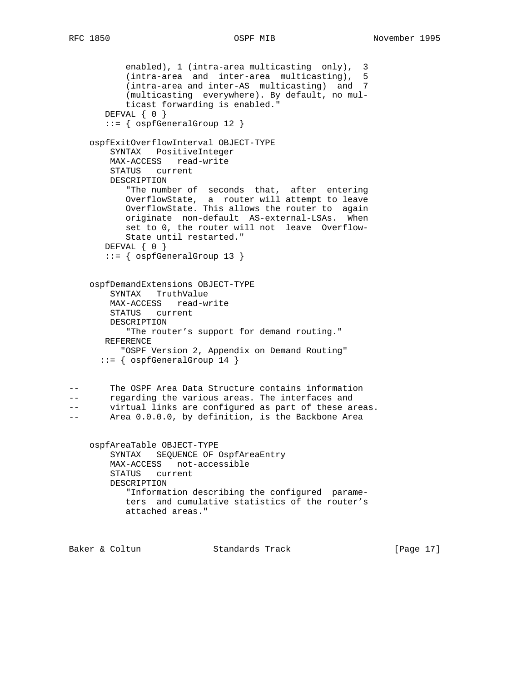```
 enabled), 1 (intra-area multicasting only), 3
           (intra-area and inter-area multicasting), 5
           (intra-area and inter-AS multicasting) and 7
           (multicasting everywhere). By default, no mul-
           ticast forwarding is enabled."
       DEFVAL { 0 }
       ::= { ospfGeneralGroup 12 }
    ospfExitOverflowInterval OBJECT-TYPE
        SYNTAX PositiveInteger
        MAX-ACCESS read-write
        STATUS current
        DESCRIPTION
 "The number of seconds that, after entering
 OverflowState, a router will attempt to leave
           OverflowState. This allows the router to again
           originate non-default AS-external-LSAs. When
           set to 0, the router will not leave Overflow-
           State until restarted."
      DEFVAL \{ 0 \} ::= { ospfGeneralGroup 13 }
    ospfDemandExtensions OBJECT-TYPE
        SYNTAX TruthValue
        MAX-ACCESS read-write
        STATUS current
        DESCRIPTION
           "The router's support for demand routing."
       REFERENCE
          "OSPF Version 2, Appendix on Demand Routing"
      ::= { ospfGeneralGroup 14 }
-- The OSPF Area Data Structure contains information
-- regarding the various areas. The interfaces and
-- virtual links are configured as part of these areas.
-- Area 0.0.0.0, by definition, is the Backbone Area
    ospfAreaTable OBJECT-TYPE
        SYNTAX SEQUENCE OF OspfAreaEntry
        MAX-ACCESS not-accessible
        STATUS current
        DESCRIPTION
           "Information describing the configured parame-
           ters and cumulative statistics of the router's
           attached areas."
Baker & Coltun Standards Track [Page 17]
```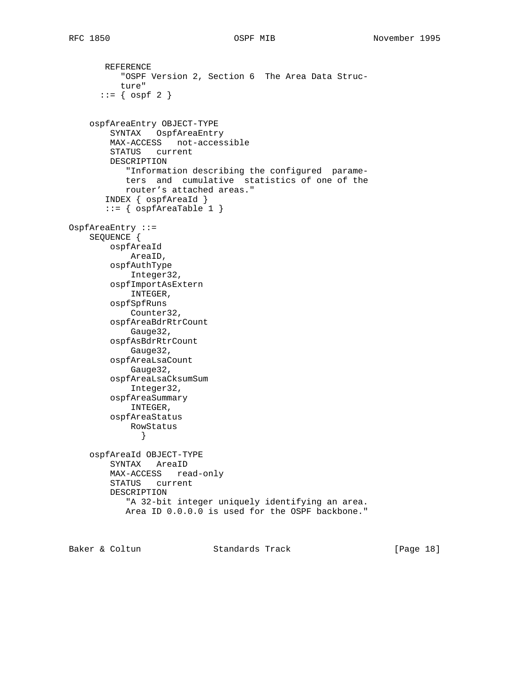REFERENCE "OSPF Version 2, Section 6 The Area Data Struc ture"  $::= \{ \text{ ospf } 2 \}$  ospfAreaEntry OBJECT-TYPE SYNTAX OspfAreaEntry MAX-ACCESS not-accessible STATUS current DESCRIPTION "Information describing the configured parame ters and cumulative statistics of one of the router's attached areas." INDEX { ospfAreaId }  $::=$  { ospfAreaTable 1 } OspfAreaEntry ::= SEQUENCE { ospfAreaId AreaID, ospfAuthType Integer32, ospfImportAsExtern INTEGER, ospfSpfRuns Counter32, ospfAreaBdrRtrCount Gauge32, ospfAsBdrRtrCount Gauge32, ospfAreaLsaCount Gauge32, ospfAreaLsaCksumSum Integer32, ospfAreaSummary INTEGER, ospfAreaStatus RowStatus } ospfAreaId OBJECT-TYPE SYNTAX AreaID MAX-ACCESS read-only STATUS current DESCRIPTION "A 32-bit integer uniquely identifying an area. Area ID 0.0.0.0 is used for the OSPF backbone."

Baker & Coltun Standards Track [Page 18]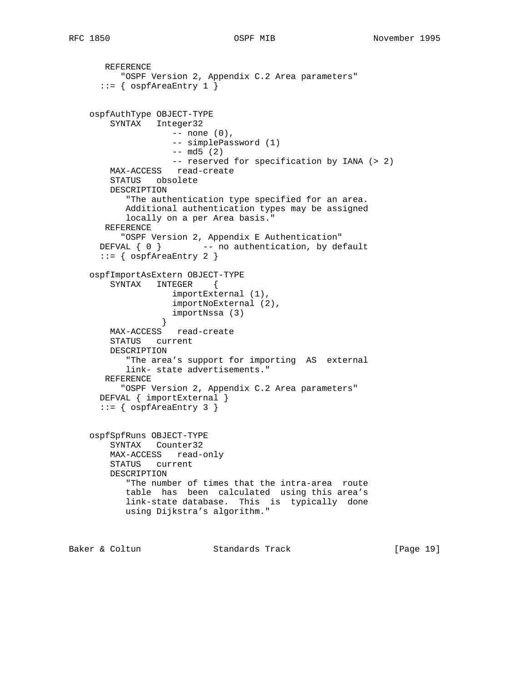```
 REFERENCE
          "OSPF Version 2, Appendix C.2 Area parameters"
      ::= { ospfAreaEntry 1 }
    ospfAuthType OBJECT-TYPE
        SYNTAX Integer32
                   -- none (0),
                    -- simplePassword (1)
                   -- md5 (2)
                    -- reserved for specification by IANA (> 2)
        MAX-ACCESS read-create
        STATUS obsolete
        DESCRIPTION
           "The authentication type specified for an area.
           Additional authentication types may be assigned
           locally on a per Area basis."
       REFERENCE
          "OSPF Version 2, Appendix E Authentication"
     DEFVAL \{ 0 \} -- no authentication, by default
     ::= { ospfAreaEntry 2 }
    ospfImportAsExtern OBJECT-TYPE
        SYNTAX INTEGER {
                    importExternal (1),
                    importNoExternal (2),
                    importNssa (3)
 }
        MAX-ACCESS read-create
        STATUS current
        DESCRIPTION
           "The area's support for importing AS external
           link- state advertisements."
       REFERENCE
          "OSPF Version 2, Appendix C.2 Area parameters"
      DEFVAL { importExternal }
      ::= { ospfAreaEntry 3 }
    ospfSpfRuns OBJECT-TYPE
        SYNTAX Counter32
        MAX-ACCESS read-only
        STATUS current
        DESCRIPTION
           "The number of times that the intra-area route
           table has been calculated using this area's
           link-state database. This is typically done
           using Dijkstra's algorithm."
Baker & Coltun Standards Track [Page 19]
```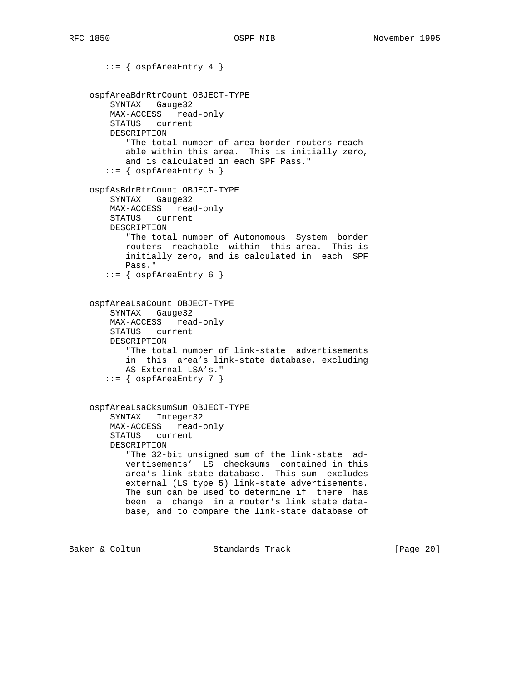::= { ospfAreaEntry 4 } ospfAreaBdrRtrCount OBJECT-TYPE SYNTAX Gauge32 MAX-ACCESS read-only STATUS current DESCRIPTION "The total number of area border routers reach able within this area. This is initially zero, and is calculated in each SPF Pass."  $::=$  {  $ospfAreaEntry 5$  } ospfAsBdrRtrCount OBJECT-TYPE SYNTAX Gauge32 MAX-ACCESS read-only STATUS current DESCRIPTION "The total number of Autonomous System border routers reachable within this area. This is initially zero, and is calculated in each SPF Pass."  $::=$  {  $ospfAreaEntry 6$  } ospfAreaLsaCount OBJECT-TYPE SYNTAX Gauge32 MAX-ACCESS read-only STATUS current DESCRIPTION "The total number of link-state advertisements in this area's link-state database, excluding AS External LSA's."  $::=$  {  $ospfAreaEntry$  7 } ospfAreaLsaCksumSum OBJECT-TYPE SYNTAX Integer32 MAX-ACCESS read-only STATUS current DESCRIPTION "The 32-bit unsigned sum of the link-state ad vertisements' LS checksums contained in this area's link-state database. This sum excludes external (LS type 5) link-state advertisements. The sum can be used to determine if there has been a change in a router's link state data base, and to compare the link-state database of

Baker & Coltun **Standards Track** [Page 20]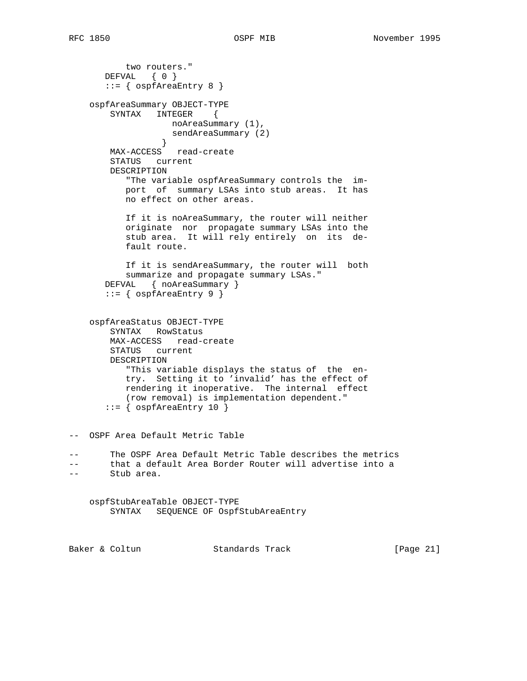```
 two routers."
       DEFVAL { 0 }
       ::= { ospfAreaEntry 8 }
    ospfAreaSummary OBJECT-TYPE
       SYNTAX INTEGER {
                  noAreaSummary (1),
                  sendAreaSummary (2)
 }
        MAX-ACCESS read-create
        STATUS current
        DESCRIPTION
           "The variable ospfAreaSummary controls the im-
           port of summary LSAs into stub areas. It has
           no effect on other areas.
           If it is noAreaSummary, the router will neither
           originate nor propagate summary LSAs into the
           stub area. It will rely entirely on its de-
           fault route.
           If it is sendAreaSummary, the router will both
           summarize and propagate summary LSAs."
       DEFVAL { noAreaSummary }
       ::= { ospfAreaEntry 9 }
    ospfAreaStatus OBJECT-TYPE
        SYNTAX RowStatus
        MAX-ACCESS read-create
        STATUS current
        DESCRIPTION
           "This variable displays the status of the en-
           try. Setting it to 'invalid' has the effect of
           rendering it inoperative. The internal effect
           (row removal) is implementation dependent."
       ::= { ospfAreaEntry 10 }
-- OSPF Area Default Metric Table
       The OSPF Area Default Metric Table describes the metrics
-- that a default Area Border Router will advertise into a
-- Stub area.
    ospfStubAreaTable OBJECT-TYPE
        SYNTAX SEQUENCE OF OspfStubAreaEntry
Baker & Coltun Standards Track [Page 21]
```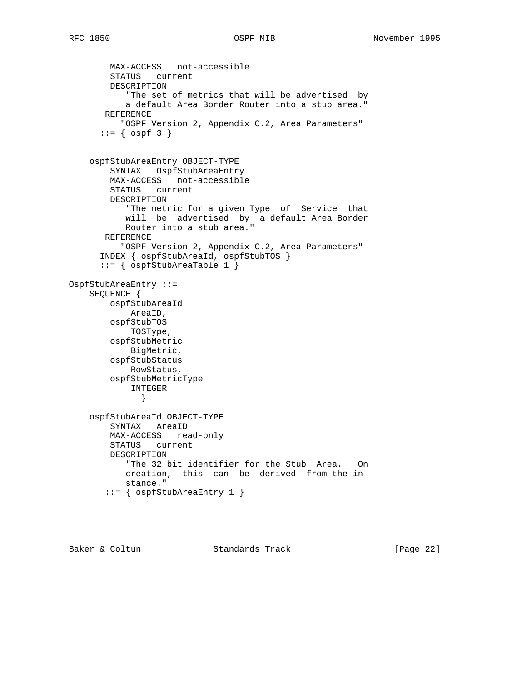```
 MAX-ACCESS not-accessible
         STATUS current
        DESCRIPTION
            "The set of metrics that will be advertised by
            a default Area Border Router into a stub area."
       REFERENCE
           "OSPF Version 2, Appendix C.2, Area Parameters"
      ::= { ospf 3 }
     ospfStubAreaEntry OBJECT-TYPE
        SYNTAX OspfStubAreaEntry
        MAX-ACCESS not-accessible
         STATUS current
        DESCRIPTION
            "The metric for a given Type of Service that
           will be advertised by a default Area Border
           Router into a stub area."
       REFERENCE
          "OSPF Version 2, Appendix C.2, Area Parameters"
       INDEX { ospfStubAreaId, ospfStubTOS }
       ::= { ospfStubAreaTable 1 }
OspfStubAreaEntry ::=
     SEQUENCE {
        ospfStubAreaId
            AreaID,
        ospfStubTOS
            TOSType,
         ospfStubMetric
            BigMetric,
         ospfStubStatus
           RowStatus,
         ospfStubMetricType
             INTEGER
              }
     ospfStubAreaId OBJECT-TYPE
         SYNTAX AreaID
        MAX-ACCESS read-only
        STATUS current
        DESCRIPTION
            "The 32 bit identifier for the Stub Area. On
           creation, this can be derived from the in-
           stance."
        ::= { ospfStubAreaEntry 1 }
```
Baker & Coltun Standards Track [Page 22]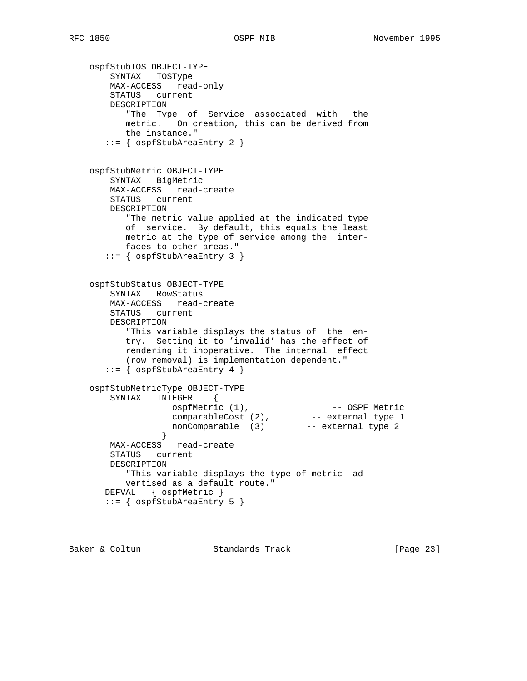```
 ospfStubTOS OBJECT-TYPE
        SYNTAX TOSType
        MAX-ACCESS read-only
        STATUS current
        DESCRIPTION
           "The Type of Service associated with the
           metric. On creation, this can be derived from
           the instance."
        ::= { ospfStubAreaEntry 2 }
    ospfStubMetric OBJECT-TYPE
        SYNTAX BigMetric
        MAX-ACCESS read-create
        STATUS current
        DESCRIPTION
           "The metric value applied at the indicated type
           of service. By default, this equals the least
           metric at the type of service among the inter-
           faces to other areas."
       ::= { ospfStubAreaEntry 3 }
    ospfStubStatus OBJECT-TYPE
        SYNTAX RowStatus
        MAX-ACCESS read-create
        STATUS current
        DESCRIPTION
           "This variable displays the status of the en-
           try. Setting it to 'invalid' has the effect of
           rendering it inoperative. The internal effect
           (row removal) is implementation dependent."
        ::= { ospfStubAreaEntry 4 }
    ospfStubMetricType OBJECT-TYPE
        SYNTAX INTEGER {
ospfMetric (1), The Constant of the Constant of the Constant of the Constant of the Constant of the Constant o
 comparableCost (2), -- external type 1
 nonComparable (3) -- external type 2
                 }
        MAX-ACCESS read-create
        STATUS current
        DESCRIPTION
           "This variable displays the type of metric ad-
           vertised as a default route."
       DEFVAL { ospfMetric }
       ::= { ospfStubAreaEntry 5 }
```
Baker & Coltun Standards Track [Page 23]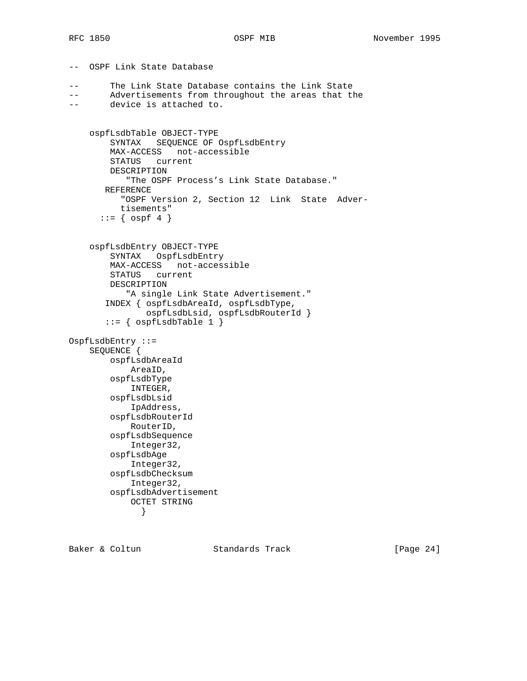-- OSPF Link State Database

```
-- The Link State Database contains the Link State
-- Advertisements from throughout the areas that the
-- device is attached to.
     ospfLsdbTable OBJECT-TYPE
         SYNTAX SEQUENCE OF OspfLsdbEntry
         MAX-ACCESS not-accessible
         STATUS current
         DESCRIPTION
            "The OSPF Process's Link State Database."
       REFERENCE
          "OSPF Version 2, Section 12 Link State Adver-
           tisements"
      ::= \{ \text{ospf } 4 \} ospfLsdbEntry OBJECT-TYPE
         SYNTAX OspfLsdbEntry
         MAX-ACCESS not-accessible
         STATUS current
         DESCRIPTION
            "A single Link State Advertisement."
        INDEX { ospfLsdbAreaId, ospfLsdbType,
                ospfLsdbLsid, ospfLsdbRouterId }
       ::= { ospfLsdbTable 1 }
OspfLsdbEntry ::=
     SEQUENCE {
         ospfLsdbAreaId
            AreaID,
         ospfLsdbType
            INTEGER,
         ospfLsdbLsid
            IpAddress,
         ospfLsdbRouterId
            RouterID,
         ospfLsdbSequence
            Integer32,
         ospfLsdbAge
            Integer32,
         ospfLsdbChecksum
            Integer32,
         ospfLsdbAdvertisement
             OCTET STRING
              }
```
Baker & Coltun Standards Track [Page 24]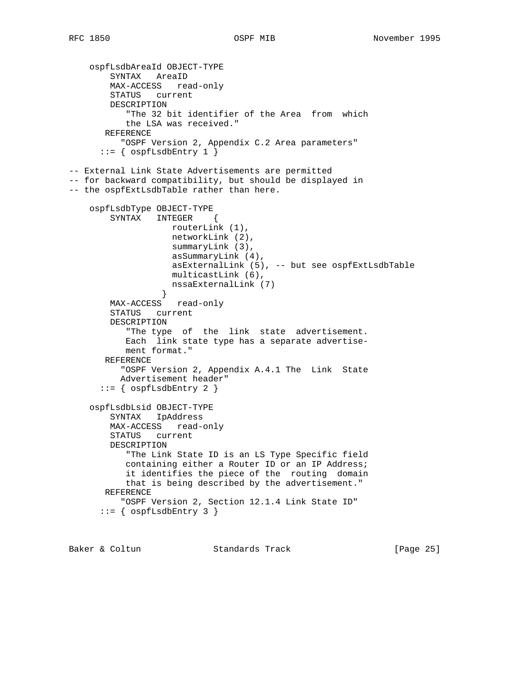```
 ospfLsdbAreaId OBJECT-TYPE
         SYNTAX AreaID
        MAX-ACCESS read-only
        STATUS current
        DESCRIPTION
            "The 32 bit identifier of the Area from which
           the LSA was received."
       REFERENCE
          "OSPF Version 2, Appendix C.2 Area parameters"
      ::= { ospfLsdbEntry 1 }
-- External Link State Advertisements are permitted
-- for backward compatibility, but should be displayed in
-- the ospfExtLsdbTable rather than here.
     ospfLsdbType OBJECT-TYPE
        SYNTAX INTEGER {
                   routerLink (1),
                    networkLink (2),
                    summaryLink (3),
                    asSummaryLink (4),
                    asExternalLink (5), -- but see ospfExtLsdbTable
                    multicastLink (6),
                  nssaExternalLink (7)
 }
        MAX-ACCESS read-only
        STATUS current
        DESCRIPTION
            "The type of the link state advertisement.
           Each link state type has a separate advertise-
           ment format."
       REFERENCE
           "OSPF Version 2, Appendix A.4.1 The Link State
          Advertisement header"
      ::= { ospfLsdbEntry 2 }
     ospfLsdbLsid OBJECT-TYPE
         SYNTAX IpAddress
        MAX-ACCESS read-only
        STATUS current
        DESCRIPTION
            "The Link State ID is an LS Type Specific field
           containing either a Router ID or an IP Address;
            it identifies the piece of the routing domain
           that is being described by the advertisement."
       REFERENCE
           "OSPF Version 2, Section 12.1.4 Link State ID"
      ::= { ospfLsdbEntry 3 }
```
Baker & Coltun Standards Track [Page 25]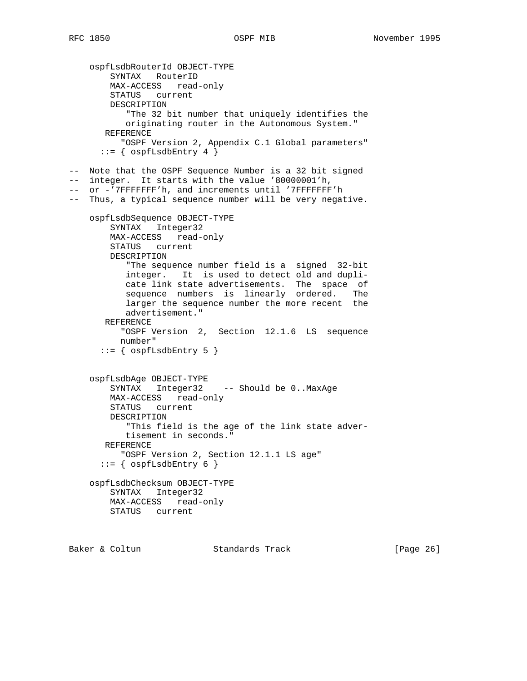```
 ospfLsdbRouterId OBJECT-TYPE
        SYNTAX RouterID
        MAX-ACCESS read-only
        STATUS current
        DESCRIPTION
           "The 32 bit number that uniquely identifies the
           originating router in the Autonomous System."
       REFERENCE
          "OSPF Version 2, Appendix C.1 Global parameters"
      ::= { ospfLsdbEntry 4 }
-- Note that the OSPF Sequence Number is a 32 bit signed
-- integer. It starts with the value '80000001'h,
-- or -'7FFFFFFF'h, and increments until '7FFFFFFF'h
-- Thus, a typical sequence number will be very negative.
    ospfLsdbSequence OBJECT-TYPE
        SYNTAX Integer32
        MAX-ACCESS read-only
        STATUS current
        DESCRIPTION
           "The sequence number field is a signed 32-bit
           integer. It is used to detect old and dupli-
 cate link state advertisements. The space of
 sequence numbers is linearly ordered. The
           larger the sequence number the more recent the
           advertisement."
       REFERENCE
          "OSPF Version 2, Section 12.1.6 LS sequence
          number"
      ::= { ospfLsdbEntry 5 }
    ospfLsdbAge OBJECT-TYPE
        SYNTAX Integer32 -- Should be 0..MaxAge
        MAX-ACCESS read-only
        STATUS current
        DESCRIPTION
           "This field is the age of the link state adver-
           tisement in seconds."
       REFERENCE
          "OSPF Version 2, Section 12.1.1 LS age"
      ::= { ospfLsdbEntry 6 }
    ospfLsdbChecksum OBJECT-TYPE
        SYNTAX Integer32
        MAX-ACCESS read-only
        STATUS current
```
Baker & Coltun **Standards Track** [Page 26]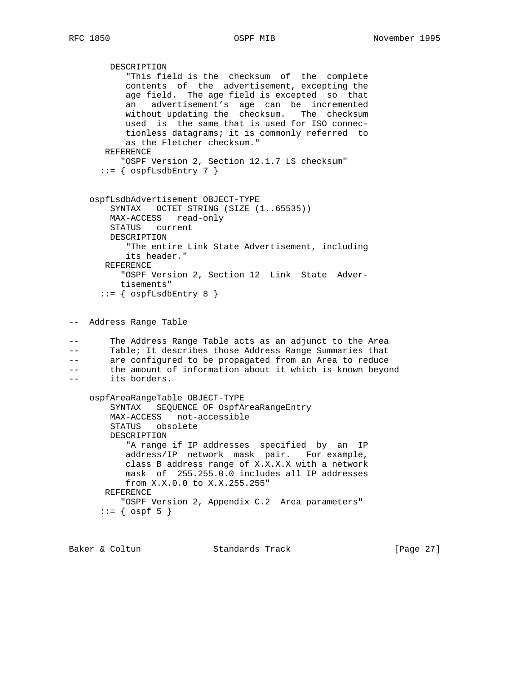```
 DESCRIPTION
 "This field is the checksum of the complete
 contents of the advertisement, excepting the
           age field. The age field is excepted so that
 an advertisement's age can be incremented
 without updating the checksum. The checksum
           used is the same that is used for ISO connec-
           tionless datagrams; it is commonly referred to
           as the Fletcher checksum."
       REFERENCE
          "OSPF Version 2, Section 12.1.7 LS checksum"
     ::= { ospfLsdbEntry 7 }
    ospfLsdbAdvertisement OBJECT-TYPE
        SYNTAX OCTET STRING (SIZE (1..65535))
        MAX-ACCESS read-only
        STATUS current
        DESCRIPTION
           "The entire Link State Advertisement, including
           its header."
       REFERENCE
          "OSPF Version 2, Section 12 Link State Adver-
          tisements"
     ::= { ospfLsdbEntry 8 }
-- Address Range Table
-- The Address Range Table acts as an adjunct to the Area
-- Table; It describes those Address Range Summaries that
-- are configured to be propagated from an Area to reduce
-- the amount of information about it which is known beyond
-- its borders.
    ospfAreaRangeTable OBJECT-TYPE
        SYNTAX SEQUENCE OF OspfAreaRangeEntry
        MAX-ACCESS not-accessible
        STATUS obsolete
        DESCRIPTION
           "A range if IP addresses specified by an IP
           address/IP network mask pair. For example,
           class B address range of X.X.X.X with a network
           mask of 255.255.0.0 includes all IP addresses
           from X.X.0.0 to X.X.255.255"
       REFERENCE
          "OSPF Version 2, Appendix C.2 Area parameters"
     ::= { ospf 5 }
```
Baker & Coltun **Standards Track** [Page 27]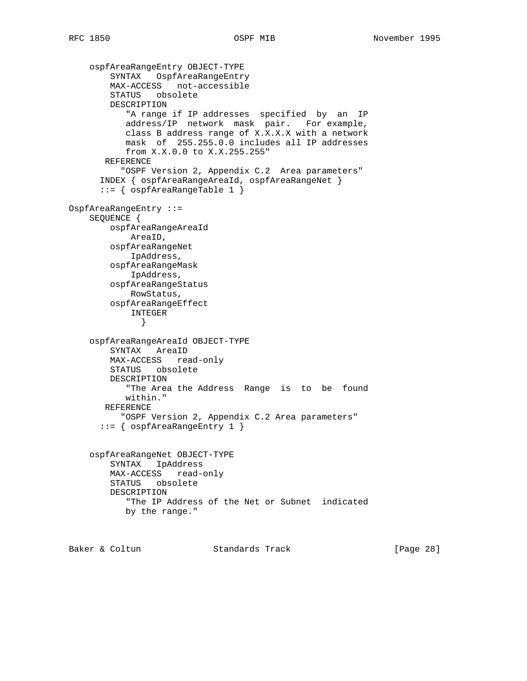```
 ospfAreaRangeEntry OBJECT-TYPE
         SYNTAX OspfAreaRangeEntry
        MAX-ACCESS not-accessible
         STATUS obsolete
        DESCRIPTION
            "A range if IP addresses specified by an IP
            address/IP network mask pair. For example,
            class B address range of X.X.X.X with a network
            mask of 255.255.0.0 includes all IP addresses
            from X.X.0.0 to X.X.255.255"
       REFERENCE
           "OSPF Version 2, Appendix C.2 Area parameters"
       INDEX { ospfAreaRangeAreaId, ospfAreaRangeNet }
       ::= { ospfAreaRangeTable 1 }
OspfAreaRangeEntry ::=
     SEQUENCE {
        ospfAreaRangeAreaId
            AreaID,
         ospfAreaRangeNet
            IpAddress,
         ospfAreaRangeMask
            IpAddress,
         ospfAreaRangeStatus
            RowStatus,
         ospfAreaRangeEffect
             INTEGER
              }
     ospfAreaRangeAreaId OBJECT-TYPE
        SYNTAX AreaID
        MAX-ACCESS read-only
        STATUS obsolete
         DESCRIPTION
            "The Area the Address Range is to be found
           within."
       REFERENCE
          "OSPF Version 2, Appendix C.2 Area parameters"
       ::= { ospfAreaRangeEntry 1 }
     ospfAreaRangeNet OBJECT-TYPE
         SYNTAX IpAddress
        MAX-ACCESS read-only
         STATUS obsolete
         DESCRIPTION
            "The IP Address of the Net or Subnet indicated
           by the range."
```
Baker & Coltun Standards Track [Page 28]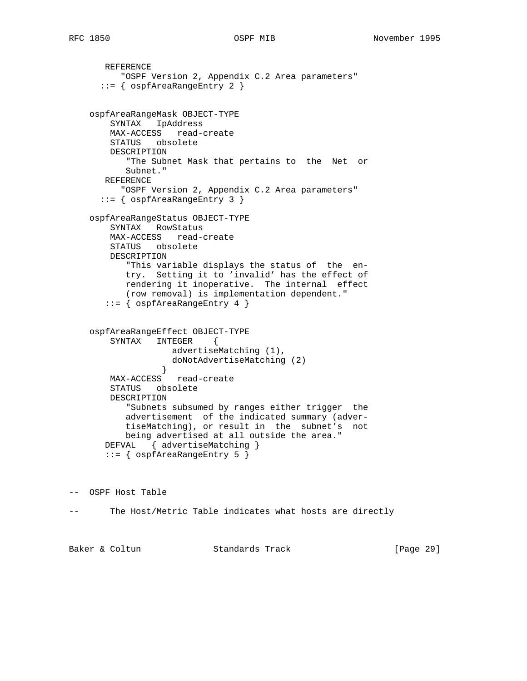```
 REFERENCE
         "OSPF Version 2, Appendix C.2 Area parameters"
      ::= { ospfAreaRangeEntry 2 }
    ospfAreaRangeMask OBJECT-TYPE
        SYNTAX IpAddress
        MAX-ACCESS read-create
        STATUS obsolete
        DESCRIPTION
           "The Subnet Mask that pertains to the Net or
           Subnet."
       REFERENCE
         "OSPF Version 2, Appendix C.2 Area parameters"
      ::= { ospfAreaRangeEntry 3 }
    ospfAreaRangeStatus OBJECT-TYPE
        SYNTAX RowStatus
        MAX-ACCESS read-create
        STATUS obsolete
        DESCRIPTION
           "This variable displays the status of the en-
           try. Setting it to 'invalid' has the effect of
           rendering it inoperative. The internal effect
           (row removal) is implementation dependent."
       ::= { ospfAreaRangeEntry 4 }
    ospfAreaRangeEffect OBJECT-TYPE
        SYNTAX INTEGER {
                   advertiseMatching (1),
                   doNotAdvertiseMatching (2)
 }
        MAX-ACCESS read-create
        STATUS obsolete
        DESCRIPTION
           "Subnets subsumed by ranges either trigger the
 advertisement of the indicated summary (adver-
 tiseMatching), or result in the subnet's not
           being advertised at all outside the area."
       DEFVAL { advertiseMatching }
       ::= { ospfAreaRangeEntry 5 }
```
-- OSPF Host Table

-- The Host/Metric Table indicates what hosts are directly

Baker & Coltun **Standards Track** [Page 29]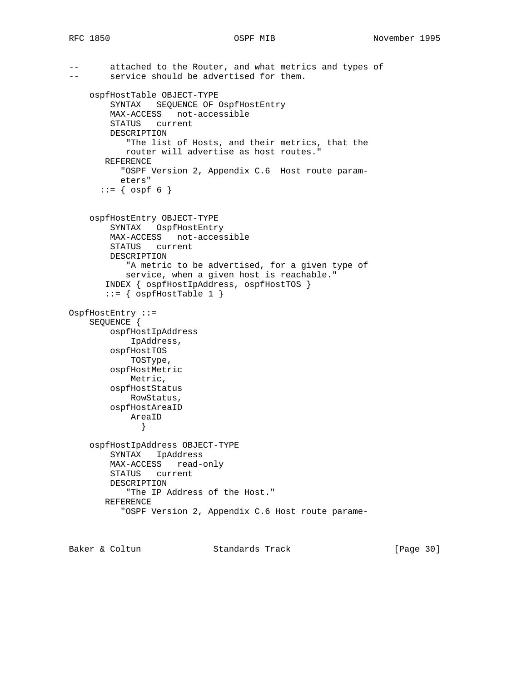```
-- attached to the Router, and what metrics and types of
-- service should be advertised for them.
     ospfHostTable OBJECT-TYPE
         SYNTAX SEQUENCE OF OspfHostEntry
        MAX-ACCESS not-accessible
        STATUS current
        DESCRIPTION
            "The list of Hosts, and their metrics, that the
           router will advertise as host routes."
       REFERENCE
           "OSPF Version 2, Appendix C.6 Host route param-
          eters"
      ::= { ospf 6 }
     ospfHostEntry OBJECT-TYPE
         SYNTAX OspfHostEntry
        MAX-ACCESS not-accessible
        STATUS current
        DESCRIPTION
            "A metric to be advertised, for a given type of
            service, when a given host is reachable."
        INDEX { ospfHostIpAddress, ospfHostTOS }
        ::= { ospfHostTable 1 }
OspfHostEntry ::=
     SEQUENCE {
        ospfHostIpAddress
             IpAddress,
         ospfHostTOS
            TOSType,
         ospfHostMetric
            Metric,
         ospfHostStatus
            RowStatus,
         ospfHostAreaID
            AreaID
              }
     ospfHostIpAddress OBJECT-TYPE
        SYNTAX IpAddress
        MAX-ACCESS read-only
        STATUS current
        DESCRIPTION
            "The IP Address of the Host."
        REFERENCE
           "OSPF Version 2, Appendix C.6 Host route parame-
```
Baker & Coltun **Standards Track** [Page 30]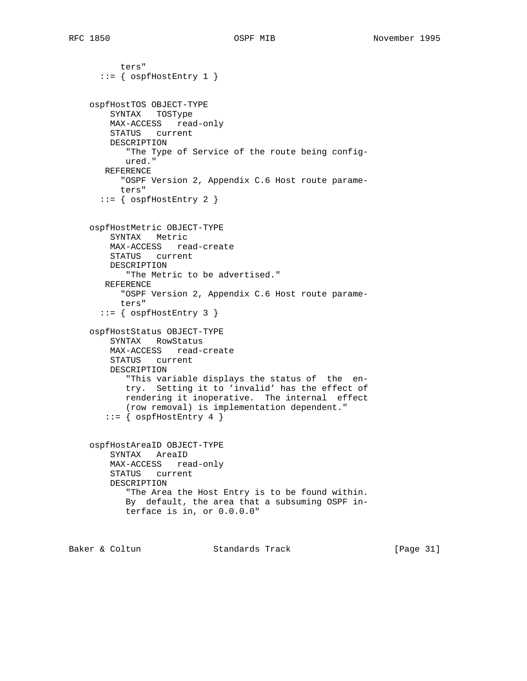```
 ters"
  ::= { ospfHostEntry 1 }
 ospfHostTOS OBJECT-TYPE
    SYNTAX TOSType
    MAX-ACCESS read-only
    STATUS current
    DESCRIPTION
        "The Type of Service of the route being config-
       ured."
   REFERENCE
       "OSPF Version 2, Appendix C.6 Host route parame-
       ters"
  ::= { ospfHostEntry 2 }
 ospfHostMetric OBJECT-TYPE
    SYNTAX Metric
    MAX-ACCESS read-create
    STATUS current
    DESCRIPTION
        "The Metric to be advertised."
   REFERENCE
      "OSPF Version 2, Appendix C.6 Host route parame-
       ters"
  ::= { ospfHostEntry 3 }
 ospfHostStatus OBJECT-TYPE
    SYNTAX RowStatus
    MAX-ACCESS read-create
    STATUS current
    DESCRIPTION
        "This variable displays the status of the en-
       try. Setting it to 'invalid' has the effect of
       rendering it inoperative. The internal effect
        (row removal) is implementation dependent."
    ::= \{ \text{ospfHostEntry 4 } \} ospfHostAreaID OBJECT-TYPE
    SYNTAX AreaID
    MAX-ACCESS read-only
    STATUS current
    DESCRIPTION
        "The Area the Host Entry is to be found within.
       By default, the area that a subsuming OSPF in-
        terface is in, or 0.0.0.0"
```
Baker & Coltun Standards Track [Page 31]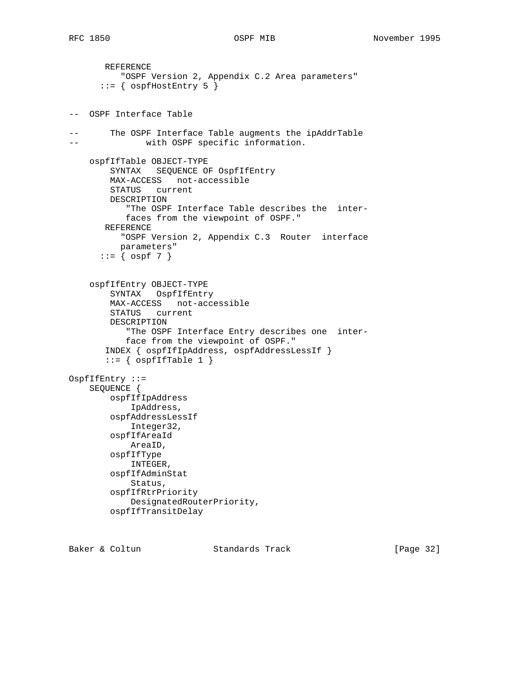```
 REFERENCE
          "OSPF Version 2, Appendix C.2 Area parameters"
      ::= { ospfHostEntry 5 }
-- OSPF Interface Table
-- The OSPF Interface Table augments the ipAddrTable
-- with OSPF specific information.
    ospfIfTable OBJECT-TYPE
        SYNTAX SEQUENCE OF OspfIfEntry
        MAX-ACCESS not-accessible
        STATUS current
        DESCRIPTION
            "The OSPF Interface Table describes the inter-
           faces from the viewpoint of OSPF."
       REFERENCE
          "OSPF Version 2, Appendix C.3 Router interface
          parameters"
      ::= { ospf 7 }
     ospfIfEntry OBJECT-TYPE
         SYNTAX OspfIfEntry
        MAX-ACCESS not-accessible
        STATUS current
         DESCRIPTION
            "The OSPF Interface Entry describes one inter-
            face from the viewpoint of OSPF."
        INDEX { ospfIfIpAddress, ospfAddressLessIf }
       ::= { ospfIfTable 1 }
OspfIfEntry ::=
    SEQUENCE {
        ospfIfIpAddress
            IpAddress,
         ospfAddressLessIf
            Integer32,
         ospfIfAreaId
            AreaID,
         ospfIfType
            INTEGER,
         ospfIfAdminStat
            Status,
         ospfIfRtrPriority
            DesignatedRouterPriority,
        ospfIfTransitDelay
```
Baker & Coltun Standards Track [Page 32]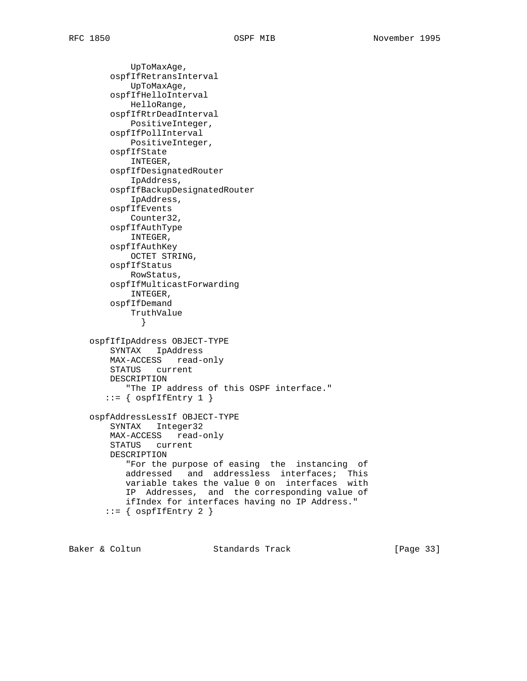UpToMaxAge, ospfIfRetransInterval UpToMaxAge, ospfIfHelloInterval HelloRange, ospfIfRtrDeadInterval PositiveInteger, ospfIfPollInterval PositiveInteger, ospfIfState INTEGER, ospfIfDesignatedRouter IpAddress, ospfIfBackupDesignatedRouter IpAddress, ospfIfEvents Counter32, ospfIfAuthType INTEGER, ospfIfAuthKey OCTET STRING, ospfIfStatus RowStatus, ospfIfMulticastForwarding INTEGER, ospfIfDemand TruthValue } ospfIfIpAddress OBJECT-TYPE SYNTAX IpAddress MAX-ACCESS read-only STATUS current DESCRIPTION "The IP address of this OSPF interface."  $::=$  {  $ospfIfEntry 1$  } ospfAddressLessIf OBJECT-TYPE SYNTAX Integer32 MAX-ACCESS read-only STATUS current DESCRIPTION "For the purpose of easing the instancing of addressed and addressless interfaces; This variable takes the value 0 on interfaces with IP Addresses, and the corresponding value of ifIndex for interfaces having no IP Address."  $::=$  {  $ospfIfEntry 2$  }

Baker & Coltun Standards Track [Page 33]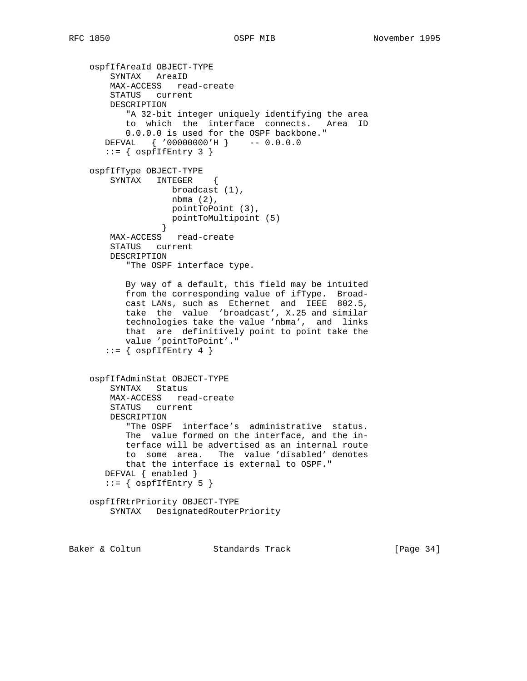```
 ospfIfAreaId OBJECT-TYPE
        SYNTAX AreaID
        MAX-ACCESS read-create
        STATUS current
        DESCRIPTION
           "A 32-bit integer uniquely identifying the area
           to which the interface connects. Area ID
           0.0.0.0 is used for the OSPF backbone."
       DEFVAL { '00000000'H } -- 0.0.0.0
      ::= { ospfIfEntry 3 }
    ospfIfType OBJECT-TYPE
        SYNTAX INTEGER {
                 broadcast (1),
                   nbma (2),
                  pointToPoint (3),
                pointToMultipoint (5)<br>}
 }
        MAX-ACCESS read-create
        STATUS current
        DESCRIPTION
           "The OSPF interface type.
           By way of a default, this field may be intuited
           from the corresponding value of ifType. Broad-
 cast LANs, such as Ethernet and IEEE 802.5,
 take the value 'broadcast', X.25 and similar
           technologies take the value 'nbma', and links
           that are definitively point to point take the
           value 'pointToPoint'."
      ::= { ospfIfEntry 4 }
    ospfIfAdminStat OBJECT-TYPE
        SYNTAX Status
        MAX-ACCESS read-create
        STATUS current
        DESCRIPTION
           "The OSPF interface's administrative status.
           The value formed on the interface, and the in-
           terface will be advertised as an internal route
           to some area. The value 'disabled' denotes
           that the interface is external to OSPF."
       DEFVAL { enabled }
      ::= { ospfIfEntry 5 }
    ospfIfRtrPriority OBJECT-TYPE
        SYNTAX DesignatedRouterPriority
```
Baker & Coltun **Standards Track** [Page 34]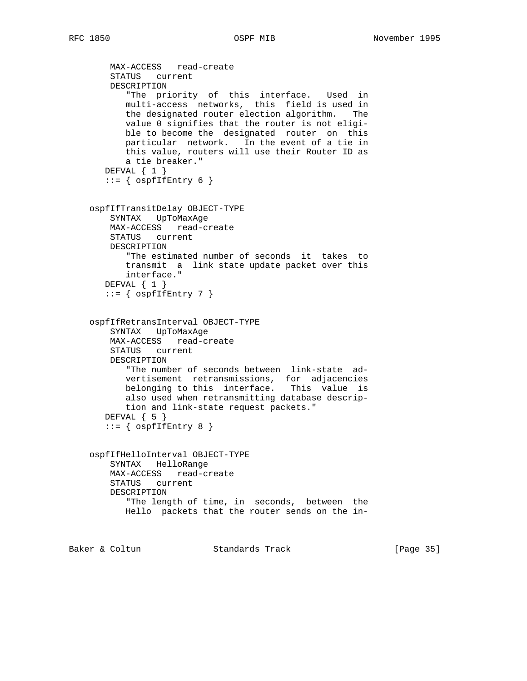```
 MAX-ACCESS read-create
    STATUS current
    DESCRIPTION
       "The priority of this interface. Used in
       multi-access networks, this field is used in
       the designated router election algorithm. The
       value 0 signifies that the router is not eligi-
       ble to become the designated router on this
       particular network. In the event of a tie in
       this value, routers will use their Router ID as
       a tie breaker."
   DEFVAL { 1 }
  ::= { ospfIfEntry 6 }
 ospfIfTransitDelay OBJECT-TYPE
    SYNTAX UpToMaxAge
    MAX-ACCESS read-create
    STATUS current
    DESCRIPTION
       "The estimated number of seconds it takes to
       transmit a link state update packet over this
       interface."
   DEFVAL { 1 }
  ::= { ospfIfEntry 7 }
 ospfIfRetransInterval OBJECT-TYPE
    SYNTAX UpToMaxAge
    MAX-ACCESS read-create
    STATUS current
    DESCRIPTION
       "The number of seconds between link-state ad-
       vertisement retransmissions, for adjacencies
       belonging to this interface. This value is
       also used when retransmitting database descrip-
       tion and link-state request packets."
   DEFVAL { 5 }
  ::= { ospfIfEntry 8 }
 ospfIfHelloInterval OBJECT-TYPE
    SYNTAX HelloRange
    MAX-ACCESS read-create
    STATUS current
    DESCRIPTION
       "The length of time, in seconds, between the
       Hello packets that the router sends on the in-
```
Baker & Coltun **Standards Track** [Page 35]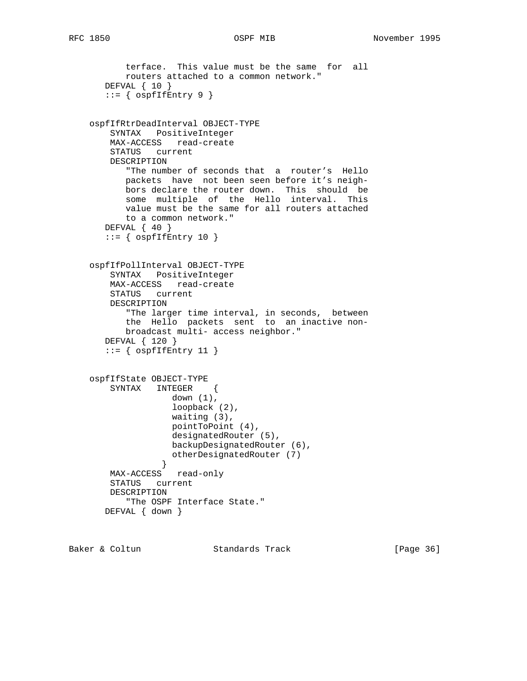```
 terface. This value must be the same for all
           routers attached to a common network."
       DEFVAL { 10 }
      ::= { ospfIfEntry 9 }
    ospfIfRtrDeadInterval OBJECT-TYPE
        SYNTAX PositiveInteger
        MAX-ACCESS read-create
        STATUS current
        DESCRIPTION
           "The number of seconds that a router's Hello
           packets have not been seen before it's neigh-
           bors declare the router down. This should be
           some multiple of the Hello interval. This
           value must be the same for all routers attached
           to a common network."
       DEFVAL { 40 }
      ::= { ospfIfEntry 10 }
    ospfIfPollInterval OBJECT-TYPE
        SYNTAX PositiveInteger
        MAX-ACCESS read-create
        STATUS current
        DESCRIPTION
           "The larger time interval, in seconds, between
           the Hello packets sent to an inactive non-
           broadcast multi- access neighbor."
       DEFVAL { 120 }
      ::= { ospfIfEntry 11 }
    ospfIfState OBJECT-TYPE
        SYNTAX INTEGER {
                   down (1),
                    loopback (2),
                    waiting (3),
                    pointToPoint (4),
                    designatedRouter (5),
                   backupDesignatedRouter (6),
                   otherDesignatedRouter (7)
 }
        MAX-ACCESS read-only
        STATUS current
        DESCRIPTION
           "The OSPF Interface State."
       DEFVAL { down }
```
Baker & Coltun Standards Track [Page 36]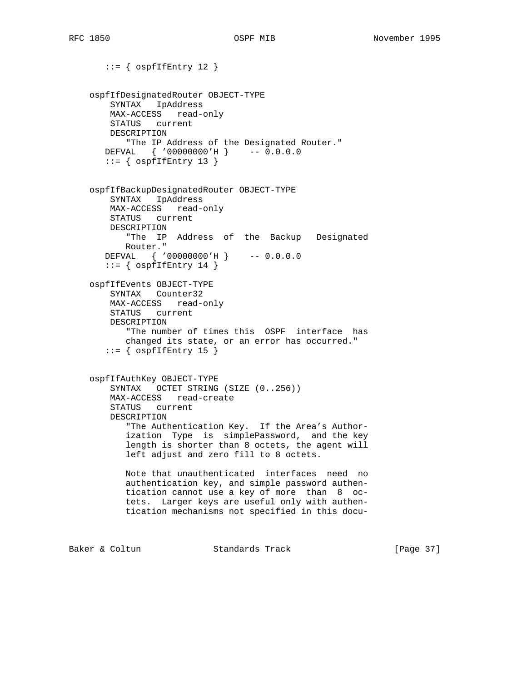```
::= { ospfIfEntry 12 }
    ospfIfDesignatedRouter OBJECT-TYPE
        SYNTAX IpAddress
        MAX-ACCESS read-only
        STATUS current
        DESCRIPTION
           "The IP Address of the Designated Router."
       DEFVAL { '00000000'H } -- 0.0.0.0
      ::= { ospfIfEntry 13 }
    ospfIfBackupDesignatedRouter OBJECT-TYPE
        SYNTAX IpAddress
        MAX-ACCESS read-only
        STATUS current
        DESCRIPTION
           "The IP Address of the Backup Designated
           Router."
       DEFVAL { '00000000'H } -- 0.0.0.0
      ::= { ospfIfEntry 14 }
    ospfIfEvents OBJECT-TYPE
        SYNTAX Counter32
        MAX-ACCESS read-only
        STATUS current
        DESCRIPTION
           "The number of times this OSPF interface has
           changed its state, or an error has occurred."
      ::= { ospfIfEntry 15 }
    ospfIfAuthKey OBJECT-TYPE
        SYNTAX OCTET STRING (SIZE (0..256))
        MAX-ACCESS read-create
        STATUS current
        DESCRIPTION
           "The Authentication Key. If the Area's Author-
           ization Type is simplePassword, and the key
           length is shorter than 8 octets, the agent will
           left adjust and zero fill to 8 octets.
           Note that unauthenticated interfaces need no
           authentication key, and simple password authen-
           tication cannot use a key of more than 8 oc-
           tets. Larger keys are useful only with authen-
           tication mechanisms not specified in this docu-
Baker & Coltun Standards Track [Page 37]
```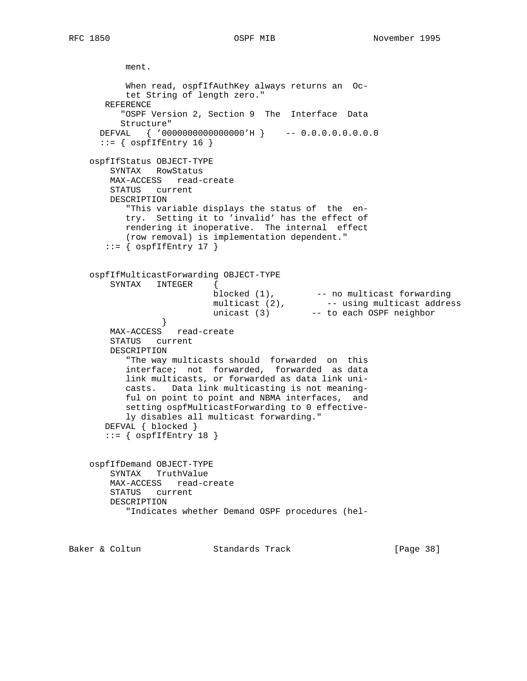ment. When read, ospfIfAuthKey always returns an Oc tet String of length zero." REFERENCE "OSPF Version 2, Section 9 The Interface Data Structure" DEFVAL { '0000000000000000'H } -- 0.0.0.0.0.0.0.0  $::=$  {  $ospfIfEntry 16$  } ospfIfStatus OBJECT-TYPE SYNTAX RowStatus MAX-ACCESS read-create STATUS current DESCRIPTION "This variable displays the status of the en try. Setting it to 'invalid' has the effect of rendering it inoperative. The internal effect (row removal) is implementation dependent."  $::=$  {  $ospfIfEntry 17$  } ospfIfMulticastForwarding OBJECT-TYPE SYNTAX INTEGER { blocked (1), The momulticast forwarding multicast (2), The same multicast address unicast (3) -- to each OSPF neighbor } MAX-ACCESS read-create STATUS current DESCRIPTION "The way multicasts should forwarded on this interface; not forwarded, forwarded as data link multicasts, or forwarded as data link uni casts. Data link multicasting is not meaning ful on point to point and NBMA interfaces, and setting ospfMulticastForwarding to 0 effective ly disables all multicast forwarding." DEFVAL { blocked }  $::=$  {  $ospfIfEntry 18$  } ospfIfDemand OBJECT-TYPE SYNTAX TruthValue MAX-ACCESS read-create STATUS current DESCRIPTION "Indicates whether Demand OSPF procedures (hel-

Baker & Coltun **Standards Track** [Page 38]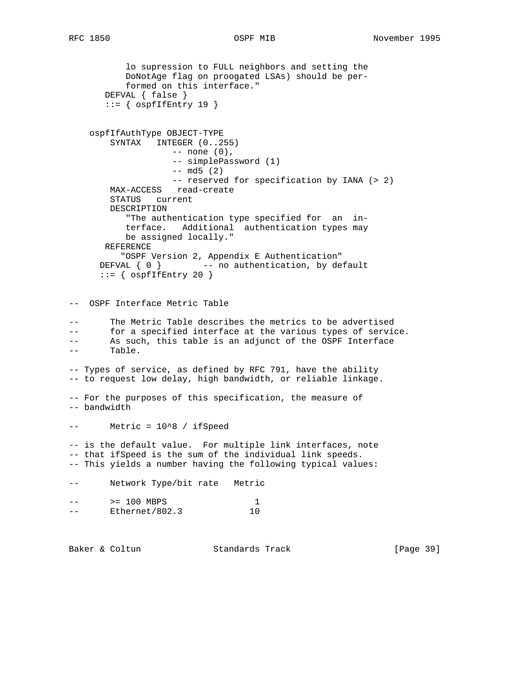lo supression to FULL neighbors and setting the DoNotAge flag on proogated LSAs) should be per formed on this interface." DEFVAL { false }  $::=$  {  $ospfIfEntry 19$  } ospfIfAuthType OBJECT-TYPE SYNTAX INTEGER (0..255) -- none (0), -- simplePassword (1)  $--$  md5 (2) -- reserved for specification by IANA (> 2) MAX-ACCESS read-create STATUS current DESCRIPTION "The authentication type specified for an in terface. Additional authentication types may be assigned locally." REFERENCE "OSPF Version 2, Appendix E Authentication" DEFVAL  $\{ 0 \}$  -- no authentication, by default  $::=$  {  $ospfIfEntry 20$  } -- OSPF Interface Metric Table -- The Metric Table describes the metrics to be advertised -- for a specified interface at the various types of service. -- As such, this table is an adjunct of the OSPF Interface -- Table. -- Types of service, as defined by RFC 791, have the ability -- to request low delay, high bandwidth, or reliable linkage. -- For the purposes of this specification, the measure of -- bandwidth -- Metric = 10^8 / ifSpeed -- is the default value. For multiple link interfaces, note -- that ifSpeed is the sum of the individual link speeds. -- This yields a number having the following typical values: -- Network Type/bit rate Metric -- > 200 MBPS 1 -- Ethernet/802.3 10

Baker & Coltun Standards Track [Page 39]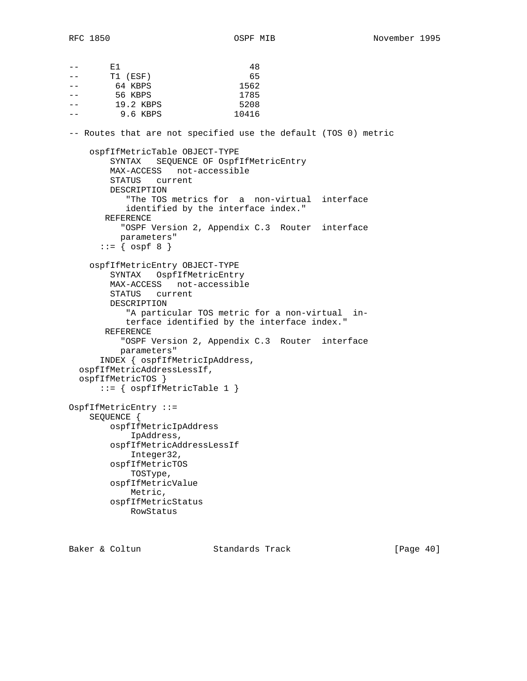| $- -$ | Е1                                                              | 48                                             |  |
|-------|-----------------------------------------------------------------|------------------------------------------------|--|
| $- -$ | T1 (ESF)                                                        | 65                                             |  |
|       | 64 KBPS                                                         | 1562                                           |  |
| $- -$ | 56 KBPS                                                         | 1785                                           |  |
| $- -$ | 19.2 KBPS                                                       | 5208                                           |  |
|       | 9.6 KBPS                                                        | 10416                                          |  |
|       | -- Routes that are not specified use the default (TOS 0) metric |                                                |  |
|       | ospfIfMetricTable OBJECT-TYPE                                   |                                                |  |
|       |                                                                 | SYNTAX SEQUENCE OF OspfIfMetricEntry           |  |
|       | MAX-ACCESS not-accessible                                       |                                                |  |
|       | STATUS current                                                  |                                                |  |
|       | DESCRIPTION                                                     |                                                |  |
|       |                                                                 | "The TOS metrics for a non-virtual interface   |  |
|       |                                                                 | identified by the interface index."            |  |
|       | REFERENCE                                                       |                                                |  |
|       |                                                                 | "OSPF Version 2, Appendix C.3 Router interface |  |
|       | parameters"                                                     |                                                |  |
|       | $ ::= \{ \text{ ospf } 8 \}$                                    |                                                |  |
|       | ospfIfMetricEntry OBJECT-TYPE                                   |                                                |  |
|       | SYNTAX OspfIfMetricEntry                                        |                                                |  |
|       | MAX-ACCESS not-accessible                                       |                                                |  |
|       | STATUS current                                                  |                                                |  |
|       | DESCRIPTION                                                     |                                                |  |
|       |                                                                 | "A particular TOS metric for a non-virtual in- |  |
|       |                                                                 | terface identified by the interface index."    |  |
|       | REFERENCE                                                       |                                                |  |
|       |                                                                 | "OSPF Version 2, Appendix C.3 Router interface |  |
|       | parameters"                                                     |                                                |  |
|       | INDEX { ospfIfMetricIpAddress,                                  |                                                |  |
|       | ospfIfMetricAddressLessIf,                                      |                                                |  |
|       | ospfIfMetricTOS }                                               |                                                |  |
|       | $::= \{ ospfIfMetricTable 1 \}$                                 |                                                |  |
|       | OspfIfMetricEntry ::=                                           |                                                |  |
|       | SEQUENCE {                                                      |                                                |  |
|       | ospfIfMetricIpAddress                                           |                                                |  |
|       | IpAddress,                                                      |                                                |  |
|       | ospfIfMetricAddressLessIf                                       |                                                |  |
|       | Integer32,                                                      |                                                |  |
|       | ospfIfMetricTOS                                                 |                                                |  |
|       | TOSType,                                                        |                                                |  |
|       | ospfIfMetricValue                                               |                                                |  |
|       | Metric,                                                         |                                                |  |
|       | ospfIfMetricStatus                                              |                                                |  |
|       | RowStatus                                                       |                                                |  |

Baker & Coltun Standards Track [Page 40]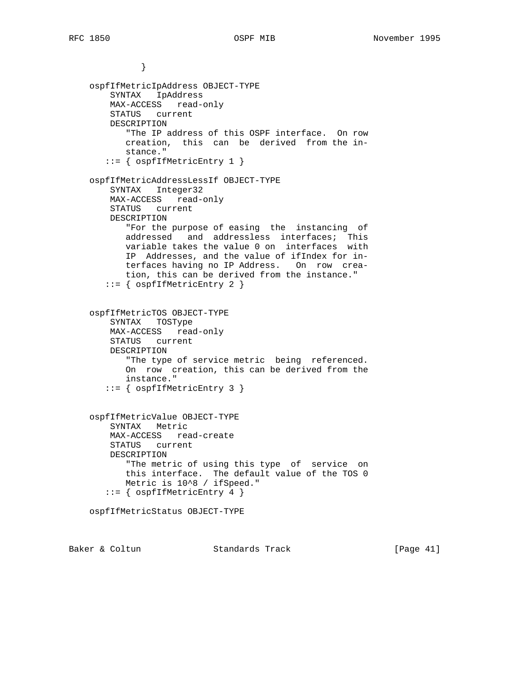} ospfIfMetricIpAddress OBJECT-TYPE SYNTAX IpAddress MAX-ACCESS read-only STATUS current DESCRIPTION "The IP address of this OSPF interface. On row creation, this can be derived from the in stance." ::= { ospfIfMetricEntry 1 } ospfIfMetricAddressLessIf OBJECT-TYPE SYNTAX Integer32 MAX-ACCESS read-only STATUS current DESCRIPTION "For the purpose of easing the instancing of addressed and addressless interfaces; This variable takes the value 0 on interfaces with IP Addresses, and the value of ifIndex for in terfaces having no IP Address. On row crea tion, this can be derived from the instance." ::= { ospfIfMetricEntry 2 } ospfIfMetricTOS OBJECT-TYPE SYNTAX TOSType MAX-ACCESS read-only STATUS current DESCRIPTION "The type of service metric being referenced. On row creation, this can be derived from the instance." ::= { ospfIfMetricEntry 3 } ospfIfMetricValue OBJECT-TYPE SYNTAX Metric MAX-ACCESS read-create STATUS current DESCRIPTION "The metric of using this type of service on this interface. The default value of the TOS 0 Metric is 10^8 / ifSpeed." ::= { ospfIfMetricEntry 4 } ospfIfMetricStatus OBJECT-TYPE

Baker & Coltun Standards Track [Page 41]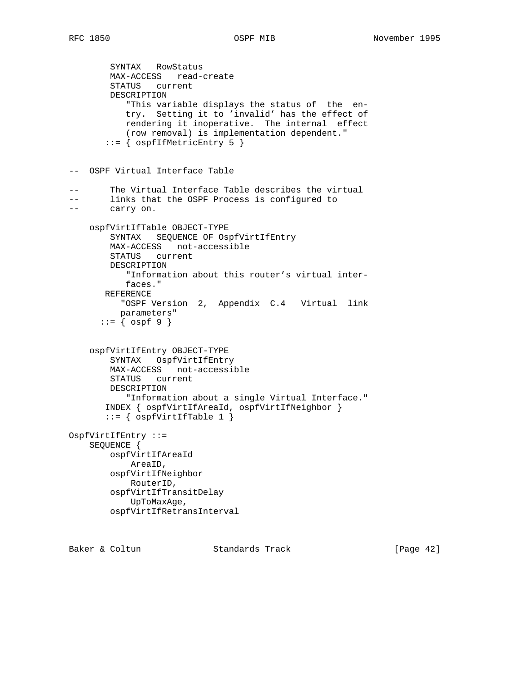```
 SYNTAX RowStatus
        MAX-ACCESS read-create
        STATUS current
        DESCRIPTION
            "This variable displays the status of the en-
           try. Setting it to 'invalid' has the effect of
           rendering it inoperative. The internal effect
            (row removal) is implementation dependent."
        ::= { ospfIfMetricEntry 5 }
-- OSPF Virtual Interface Table
-- The Virtual Interface Table describes the virtual
-- links that the OSPF Process is configured to
-- carry on.
    ospfVirtIfTable OBJECT-TYPE
        SYNTAX SEQUENCE OF OspfVirtIfEntry
        MAX-ACCESS not-accessible
        STATUS current
        DESCRIPTION
            "Information about this router's virtual inter-
           faces."
       REFERENCE
          "OSPF Version 2, Appendix C.4 Virtual link
          parameters"
      ::= \{ \text{ospf } 9 \} ospfVirtIfEntry OBJECT-TYPE
        SYNTAX OspfVirtIfEntry
        MAX-ACCESS not-accessible
        STATUS current
        DESCRIPTION
           "Information about a single Virtual Interface."
       INDEX { ospfVirtIfAreaId, ospfVirtIfNeighbor }
       ::= { ospfVirtIfTable 1 }
OspfVirtIfEntry ::=
    SEQUENCE {
        ospfVirtIfAreaId
            AreaID,
        ospfVirtIfNeighbor
            RouterID,
        ospfVirtIfTransitDelay
            UpToMaxAge,
        ospfVirtIfRetransInterval
```
Baker & Coltun Standards Track [Page 42]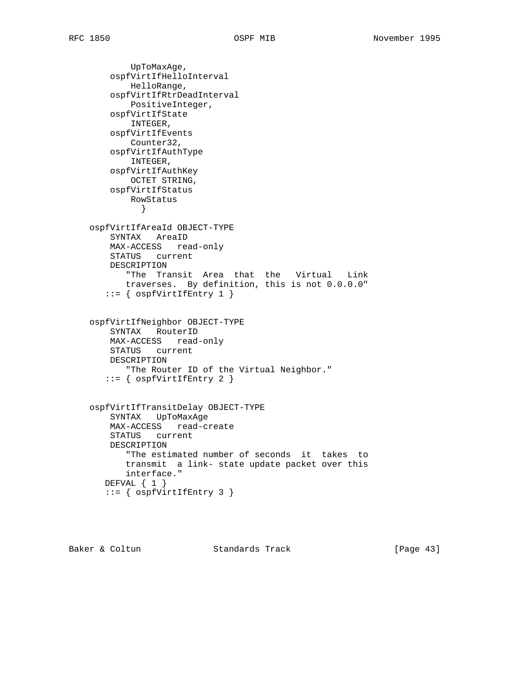UpToMaxAge, ospfVirtIfHelloInterval HelloRange, ospfVirtIfRtrDeadInterval PositiveInteger, ospfVirtIfState INTEGER, ospfVirtIfEvents Counter32, ospfVirtIfAuthType INTEGER, ospfVirtIfAuthKey OCTET STRING, ospfVirtIfStatus RowStatus } ospfVirtIfAreaId OBJECT-TYPE SYNTAX AreaID MAX-ACCESS read-only STATUS current DESCRIPTION "The Transit Area that the Virtual Link traverses. By definition, this is not 0.0.0.0"  $::=$  {  $ospfVirtIfEntry 1$  } ospfVirtIfNeighbor OBJECT-TYPE SYNTAX RouterID MAX-ACCESS read-only STATUS current DESCRIPTION "The Router ID of the Virtual Neighbor." ::= { ospfVirtIfEntry 2 } ospfVirtIfTransitDelay OBJECT-TYPE SYNTAX UpToMaxAge MAX-ACCESS read-create STATUS current DESCRIPTION "The estimated number of seconds it takes to transmit a link- state update packet over this interface." DEFVAL { 1 } ::= { ospfVirtIfEntry 3 }

Baker & Coltun Standards Track [Page 43]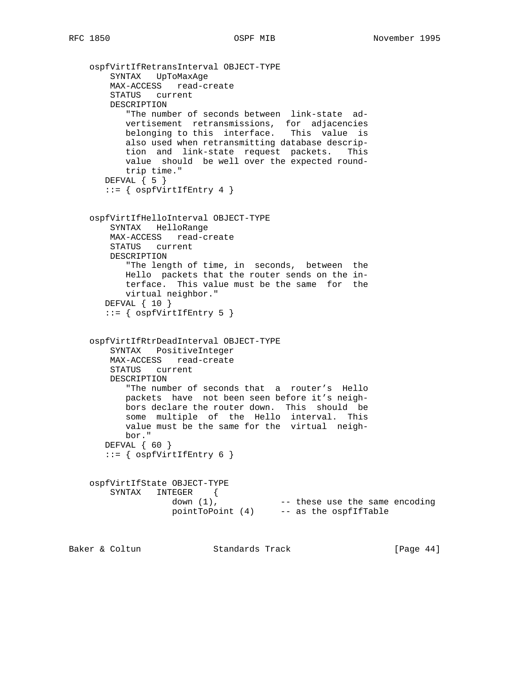```
 ospfVirtIfRetransInterval OBJECT-TYPE
        SYNTAX UpToMaxAge
        MAX-ACCESS read-create
        STATUS current
        DESCRIPTION
           "The number of seconds between link-state ad-
           vertisement retransmissions, for adjacencies
          belonging to this interface. This value is
           also used when retransmitting database descrip-
           tion and link-state request packets. This
           value should be well over the expected round-
           trip time."
      DEFVAL \{ 5 \}::= { ospfVirtIffEntry 4 }
    ospfVirtIfHelloInterval OBJECT-TYPE
        SYNTAX HelloRange
        MAX-ACCESS read-create
        STATUS current
        DESCRIPTION
           "The length of time, in seconds, between the
           Hello packets that the router sends on the in-
          terface. This value must be the same for the
           virtual neighbor."
       DEFVAL { 10 }
      ::= { ospfvirtIfEntry 5 }
    ospfVirtIfRtrDeadInterval OBJECT-TYPE
        SYNTAX PositiveInteger
        MAX-ACCESS read-create
        STATUS current
        DESCRIPTION
           "The number of seconds that a router's Hello
           packets have not been seen before it's neigh-
           bors declare the router down. This should be
           some multiple of the Hello interval. This
           value must be the same for the virtual neigh-
          bor."
       DEFVAL { 60 }
      ::= { ospfVirtIffEntry 6 }
    ospfVirtIfState OBJECT-TYPE
        SYNTAX INTEGER {
down (1), These use the same encoding
 pointToPoint (4) -- as the ospfIfTable
Baker & Coltun Standards Track [Page 44]
```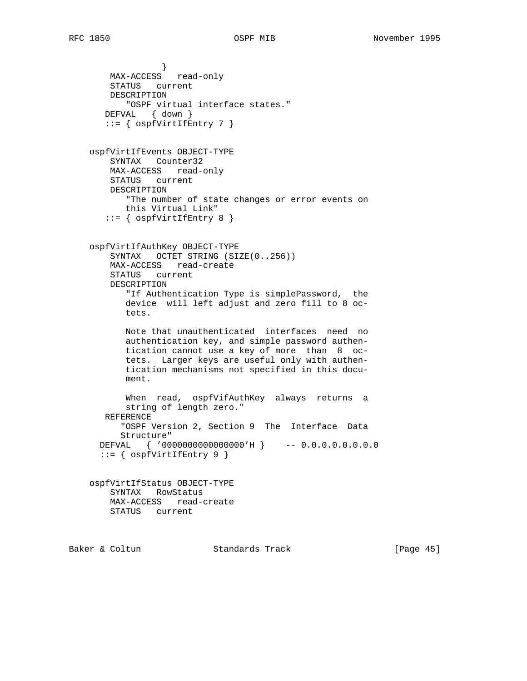```
 }
        MAX-ACCESS read-only
        STATUS current
        DESCRIPTION
           "OSPF virtual interface states."
       DEFVAL { down }
      ::= { ospfVirtIfEntry 7 }
    ospfVirtIfEvents OBJECT-TYPE
        SYNTAX Counter32
        MAX-ACCESS read-only
        STATUS current
        DESCRIPTION
           "The number of state changes or error events on
           this Virtual Link"
      ::= { ospfVirtIfEntry 8 }
    ospfVirtIfAuthKey OBJECT-TYPE
        SYNTAX OCTET STRING (SIZE(0..256))
        MAX-ACCESS read-create
        STATUS current
        DESCRIPTION
           "If Authentication Type is simplePassword, the
           device will left adjust and zero fill to 8 oc-
           tets.
           Note that unauthenticated interfaces need no
           authentication key, and simple password authen-
           tication cannot use a key of more than 8 oc-
           tets. Larger keys are useful only with authen-
           tication mechanisms not specified in this docu-
           ment.
           When read, ospfVifAuthKey always returns a
           string of length zero."
       REFERENCE
          "OSPF Version 2, Section 9 The Interface Data
          Structure"
      DEFVAL { '0000000000000000'H } -- 0.0.0.0.0.0.0.0
      ::= { ospfVirtIfEntry 9 }
    ospfVirtIfStatus OBJECT-TYPE
        SYNTAX RowStatus
        MAX-ACCESS read-create
        STATUS current
```
Baker & Coltun Standards Track [Page 45]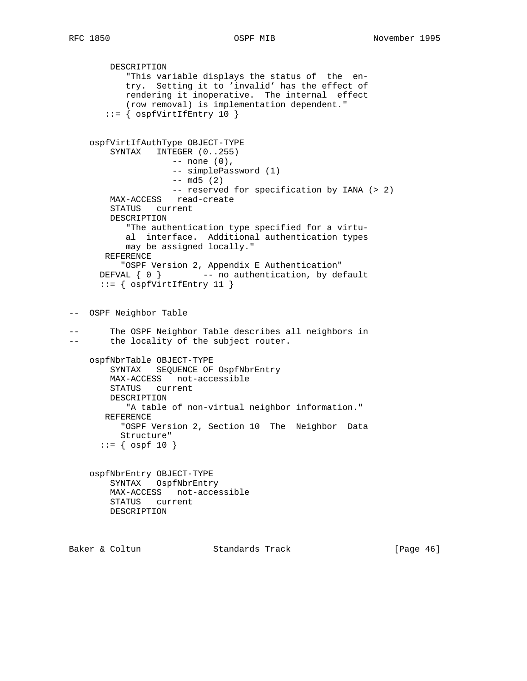DESCRIPTION "This variable displays the status of the en try. Setting it to 'invalid' has the effect of rendering it inoperative. The internal effect (row removal) is implementation dependent." ::= { ospfVirtIfEntry 10 } ospfVirtIfAuthType OBJECT-TYPE SYNTAX INTEGER (0..255) -- none (0), -- simplePassword (1) -- md5 (2) -- reserved for specification by IANA (> 2) MAX-ACCESS read-create STATUS current DESCRIPTION "The authentication type specified for a virtu al interface. Additional authentication types may be assigned locally." REFERENCE "OSPF Version 2, Appendix E Authentication" DEFVAL  $\{ 0 \}$  -- no authentication, by default ::= { ospfVirtIfEntry 11 } -- OSPF Neighbor Table -- The OSPF Neighbor Table describes all neighbors in -- the locality of the subject router. ospfNbrTable OBJECT-TYPE SYNTAX SEQUENCE OF OspfNbrEntry MAX-ACCESS not-accessible STATUS current DESCRIPTION "A table of non-virtual neighbor information." REFERENCE "OSPF Version 2, Section 10 The Neighbor Data Structure"  $::=$  {  $ospf 10$  } ospfNbrEntry OBJECT-TYPE SYNTAX OspfNbrEntry MAX-ACCESS not-accessible STATUS current DESCRIPTION Baker & Coltun Standards Track [Page 46]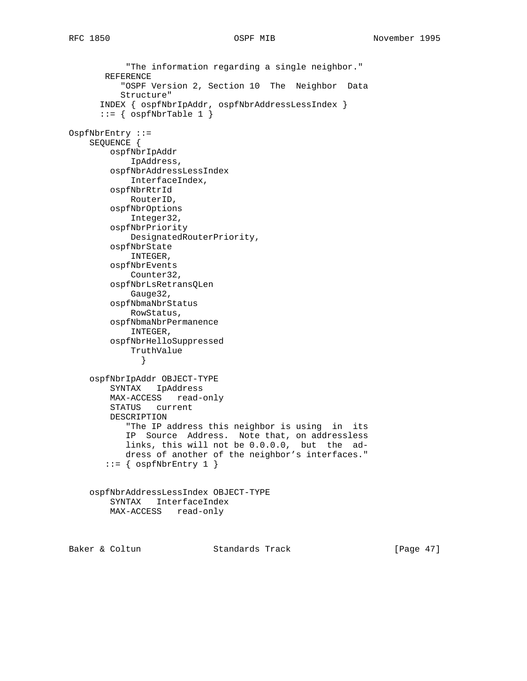"The information regarding a single neighbor." REFERENCE "OSPF Version 2, Section 10 The Neighbor Data Structure" INDEX { ospfNbrIpAddr, ospfNbrAddressLessIndex }  $::=$  {  $ospfNbrTable 1$  } OspfNbrEntry ::= SEQUENCE { ospfNbrIpAddr IpAddress, ospfNbrAddressLessIndex InterfaceIndex, ospfNbrRtrId RouterID, ospfNbrOptions Integer32, ospfNbrPriority DesignatedRouterPriority, ospfNbrState INTEGER, ospfNbrEvents Counter32, ospfNbrLsRetransQLen Gauge32, ospfNbmaNbrStatus RowStatus, ospfNbmaNbrPermanence INTEGER, ospfNbrHelloSuppressed TruthValue } ospfNbrIpAddr OBJECT-TYPE SYNTAX IpAddress MAX-ACCESS read-only STATUS current DESCRIPTION "The IP address this neighbor is using in its IP Source Address. Note that, on addressless links, this will not be 0.0.0.0, but the ad dress of another of the neighbor's interfaces."  $::=$  {  $ospfNbrEntry 1$  } ospfNbrAddressLessIndex OBJECT-TYPE SYNTAX InterfaceIndex MAX-ACCESS read-only

Baker & Coltun Standards Track [Page 47]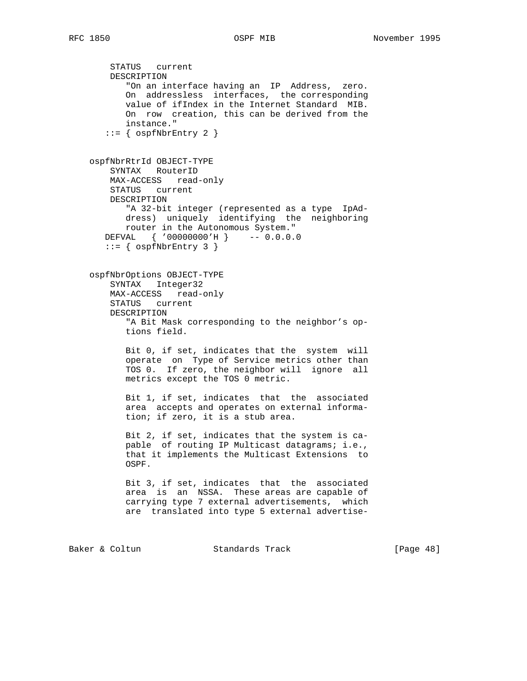STATUS current DESCRIPTION "On an interface having an IP Address, zero. On addressless interfaces, the corresponding value of ifIndex in the Internet Standard MIB. On row creation, this can be derived from the instance."  $::=$  {  $ospfNbrEntry 2$  } ospfNbrRtrId OBJECT-TYPE SYNTAX RouterID MAX-ACCESS read-only STATUS current DESCRIPTION "A 32-bit integer (represented as a type IpAd dress) uniquely identifying the neighboring router in the Autonomous System." DEFVAL { '00000000'H } -- 0.0.0.0  $::=$  {  $ospfNbrEntry 3$  } ospfNbrOptions OBJECT-TYPE SYNTAX Integer32 MAX-ACCESS read-only STATUS current DESCRIPTION "A Bit Mask corresponding to the neighbor's op tions field. Bit 0, if set, indicates that the system will operate on Type of Service metrics other than TOS 0. If zero, the neighbor will ignore all metrics except the TOS 0 metric. Bit 1, if set, indicates that the associated area accepts and operates on external informa tion; if zero, it is a stub area. Bit 2, if set, indicates that the system is ca pable of routing IP Multicast datagrams; i.e., that it implements the Multicast Extensions to OSPF. Bit 3, if set, indicates that the associated area is an NSSA. These areas are capable of carrying type 7 external advertisements, which are translated into type 5 external advertise-

Baker & Coltun **Standards Track** [Page 48]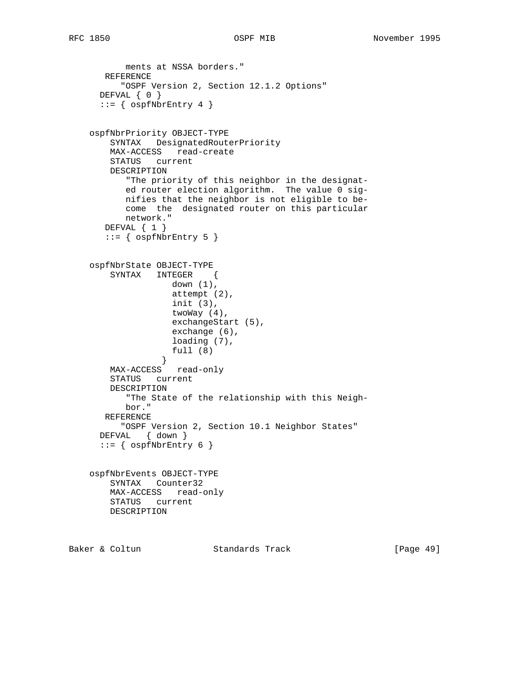```
 ments at NSSA borders."
       REFERENCE
          "OSPF Version 2, Section 12.1.2 Options"
      DEFVAL { 0 }
     ::= { ospfNbrEntry 4 }
    ospfNbrPriority OBJECT-TYPE
        SYNTAX DesignatedRouterPriority
        MAX-ACCESS read-create
        STATUS current
        DESCRIPTION
           "The priority of this neighbor in the designat-
           ed router election algorithm. The value 0 sig-
           nifies that the neighbor is not eligible to be-
           come the designated router on this particular
           network."
       DEFVAL { 1 }
      ::= { ospfNbrEntry 5 }
    ospfNbrState OBJECT-TYPE
        SYNTAX INTEGER {
                   down (1),
                    attempt (2),
                    init (3),
                    twoWay (4),
                    exchangeStart (5),
                    exchange (6),
                    loading (7),
                    full (8)
 }
        MAX-ACCESS read-only
        STATUS current
        DESCRIPTION
           "The State of the relationship with this Neigh-
           bor."
       REFERENCE
          "OSPF Version 2, Section 10.1 Neighbor States"
      DEFVAL { down }
     ::= { ospfNbrEntry 6 }
    ospfNbrEvents OBJECT-TYPE
        SYNTAX Counter32
        MAX-ACCESS read-only
        STATUS current
        DESCRIPTION
```
Baker & Coltun Standards Track [Page 49]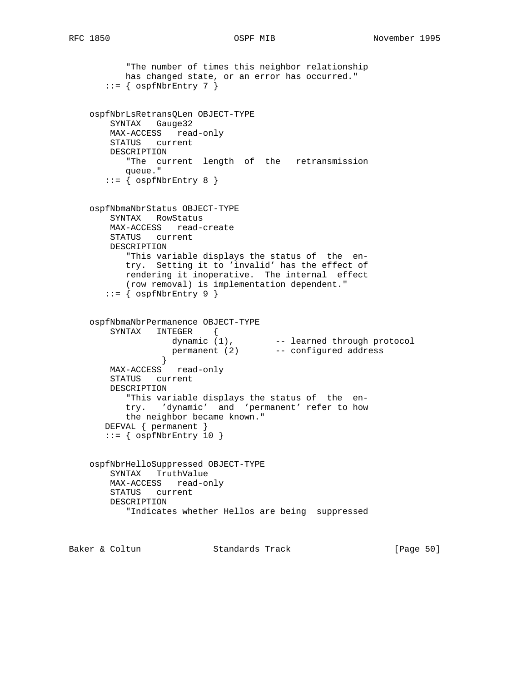```
 "The number of times this neighbor relationship
           has changed state, or an error has occurred."
      ::= { ospfNbrEntry 7 }
    ospfNbrLsRetransQLen OBJECT-TYPE
        SYNTAX Gauge32
        MAX-ACCESS read-only
        STATUS current
        DESCRIPTION
          "The current length of the retransmission
          queue."
      ::= { ospfNbrEntry 8 }
    ospfNbmaNbrStatus OBJECT-TYPE
        SYNTAX RowStatus
        MAX-ACCESS read-create
        STATUS current
        DESCRIPTION
           "This variable displays the status of the en-
          try. Setting it to 'invalid' has the effect of
          rendering it inoperative. The internal effect
          (row removal) is implementation dependent."
      ::= { ospfNbrEntry 9 }
    ospfNbmaNbrPermanence OBJECT-TYPE
        SYNTAX INTEGER {
dynamic (1), The searned through protocol
 permanent (2) -- configured address
 }
        MAX-ACCESS read-only
        STATUS current
        DESCRIPTION
           "This variable displays the status of the en-
           try. 'dynamic' and 'permanent' refer to how
          the neighbor became known."
       DEFVAL { permanent }
      ::= { ospfNbrEntry 10 }
    ospfNbrHelloSuppressed OBJECT-TYPE
        SYNTAX TruthValue
        MAX-ACCESS read-only
        STATUS current
        DESCRIPTION
           "Indicates whether Hellos are being suppressed
```
Baker & Coltun **Standards Track** [Page 50]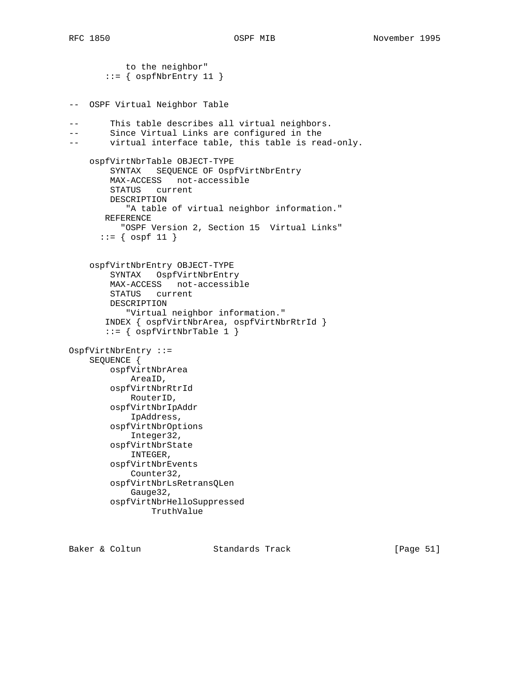to the neighbor"  $::=$  {  $ospfNbrEntry 11$  } -- OSPF Virtual Neighbor Table -- This table describes all virtual neighbors. -- Since Virtual Links are configured in the -- virtual interface table, this table is read-only. ospfVirtNbrTable OBJECT-TYPE SYNTAX SEQUENCE OF OspfVirtNbrEntry MAX-ACCESS not-accessible STATUS current DESCRIPTION "A table of virtual neighbor information." REFERENCE "OSPF Version 2, Section 15 Virtual Links"  $::=$  {  $ospf 11$  } ospfVirtNbrEntry OBJECT-TYPE SYNTAX OspfVirtNbrEntry MAX-ACCESS not-accessible STATUS current DESCRIPTION "Virtual neighbor information." INDEX { ospfVirtNbrArea, ospfVirtNbrRtrId }  $::=$  {  $ospfVirtNbrTable 1$  } OspfVirtNbrEntry ::= SEQUENCE { ospfVirtNbrArea AreaID, ospfVirtNbrRtrId RouterID, ospfVirtNbrIpAddr IpAddress, ospfVirtNbrOptions Integer32, ospfVirtNbrState INTEGER, ospfVirtNbrEvents Counter32, ospfVirtNbrLsRetransQLen Gauge32, ospfVirtNbrHelloSuppressed TruthValue

Baker & Coltun Standards Track [Page 51]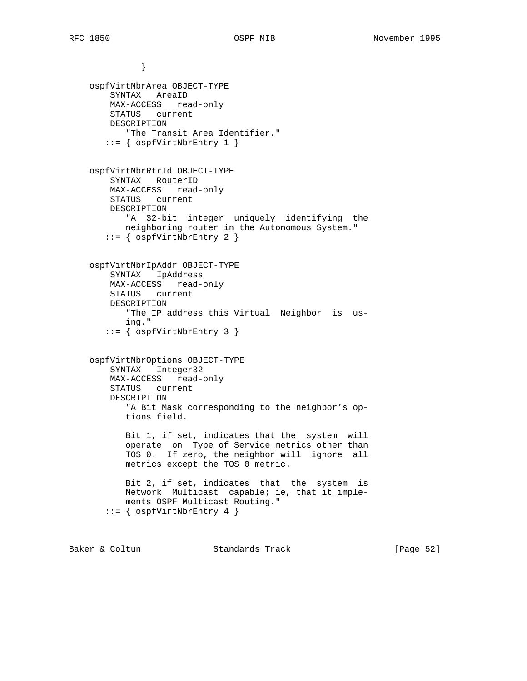} ospfVirtNbrArea OBJECT-TYPE SYNTAX AreaID MAX-ACCESS read-only STATUS current DESCRIPTION "The Transit Area Identifier."  $::=$  {  $ospfVirtNbrEntry 1$  } ospfVirtNbrRtrId OBJECT-TYPE SYNTAX RouterID MAX-ACCESS read-only STATUS current DESCRIPTION "A 32-bit integer uniquely identifying the neighboring router in the Autonomous System." ::= { ospfVirtNbrEntry 2 } ospfVirtNbrIpAddr OBJECT-TYPE SYNTAX IpAddress MAX-ACCESS read-only STATUS current DESCRIPTION "The IP address this Virtual Neighbor is us ing." ::= { ospfVirtNbrEntry 3 } ospfVirtNbrOptions OBJECT-TYPE SYNTAX Integer32 MAX-ACCESS read-only STATUS current DESCRIPTION "A Bit Mask corresponding to the neighbor's op tions field. Bit 1, if set, indicates that the system will operate on Type of Service metrics other than TOS 0. If zero, the neighbor will ignore all metrics except the TOS 0 metric. Bit 2, if set, indicates that the system is Network Multicast capable; ie, that it imple ments OSPF Multicast Routing." ::= { ospfVirtNbrEntry 4 }

Baker & Coltun Standards Track [Page 52]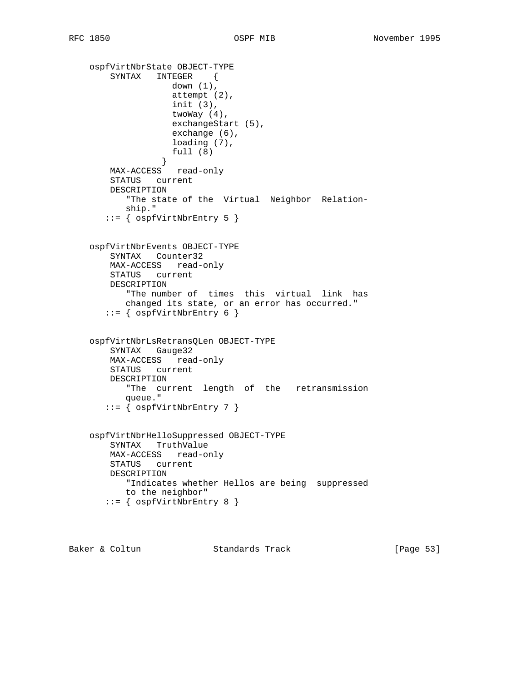```
 ospfVirtNbrState OBJECT-TYPE
        SYNTAX INTEGER {
                   down (1),
                    attempt (2),
                    init (3),
                   twoWay (4),
                    exchangeStart (5),
                   exchange (6),
                   loading (7),
                   full (8)
 }
        MAX-ACCESS read-only
        STATUS current
        DESCRIPTION
           "The state of the Virtual Neighbor Relation-
           ship."
      ::= { ospfVirtNbrEntry 5 }
    ospfVirtNbrEvents OBJECT-TYPE
        SYNTAX Counter32
        MAX-ACCESS read-only
        STATUS current
        DESCRIPTION
           "The number of times this virtual link has
           changed its state, or an error has occurred."
      ::= { ospfVirtNbrEntry 6 }
    ospfVirtNbrLsRetransQLen OBJECT-TYPE
        SYNTAX Gauge32
        MAX-ACCESS read-only
        STATUS current
        DESCRIPTION
           "The current length of the retransmission
          queue."
       ::= { ospfVirtNbrEntry 7 }
    ospfVirtNbrHelloSuppressed OBJECT-TYPE
        SYNTAX TruthValue
        MAX-ACCESS read-only
        STATUS current
        DESCRIPTION
           "Indicates whether Hellos are being suppressed
          to the neighbor"
       ::= { ospfVirtNbrEntry 8 }
```
Baker & Coltun Standards Track [Page 53]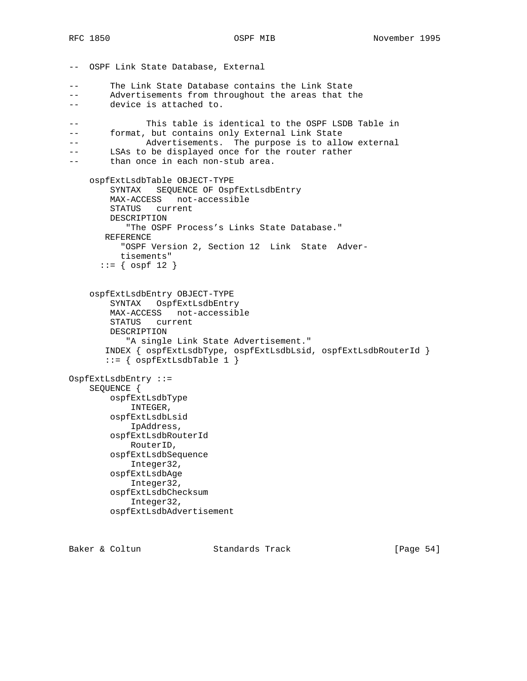-- OSPF Link State Database, External -- The Link State Database contains the Link State -- Advertisements from throughout the areas that the -- device is attached to. -- This table is identical to the OSPF LSDB Table in -- format, but contains only External Link State -- Advertisements. The purpose is to allow external -- LSAs to be displayed once for the router rather -- than once in each non-stub area. ospfExtLsdbTable OBJECT-TYPE SYNTAX SEQUENCE OF OspfExtLsdbEntry MAX-ACCESS not-accessible STATUS current DESCRIPTION "The OSPF Process's Links State Database." REFERENCE "OSPF Version 2, Section 12 Link State Adver tisements"  $::=$  {  $ospf 12$  } ospfExtLsdbEntry OBJECT-TYPE SYNTAX OspfExtLsdbEntry MAX-ACCESS not-accessible STATUS current DESCRIPTION "A single Link State Advertisement." INDEX { ospfExtLsdbType, ospfExtLsdbLsid, ospfExtLsdbRouterId }  $::=$  {  $ospExtLsdbTable 1$  } OspfExtLsdbEntry ::= SEQUENCE { ospfExtLsdbType INTEGER, ospfExtLsdbLsid IpAddress, ospfExtLsdbRouterId RouterID, ospfExtLsdbSequence Integer32, ospfExtLsdbAge Integer32, ospfExtLsdbChecksum Integer32, ospfExtLsdbAdvertisement

Baker & Coltun **Standards Track** [Page 54]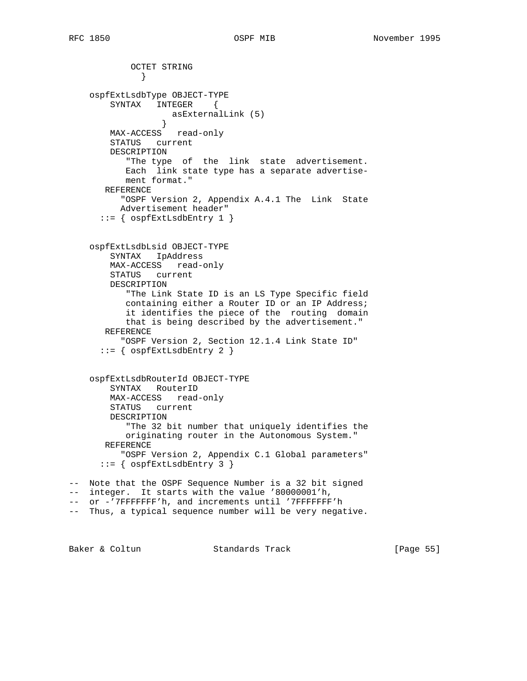OCTET STRING } ospfExtLsdbType OBJECT-TYPE SYNTAX INTEGER { asExternalLink (5) } MAX-ACCESS read-only STATUS current DESCRIPTION "The type of the link state advertisement. Each link state type has a separate advertise ment format." REFERENCE "OSPF Version 2, Appendix A.4.1 The Link State Advertisement header"  $::=$  {  $ospExtLsdbEntry 1$  } ospfExtLsdbLsid OBJECT-TYPE SYNTAX IpAddress MAX-ACCESS read-only STATUS current DESCRIPTION "The Link State ID is an LS Type Specific field containing either a Router ID or an IP Address; it identifies the piece of the routing domain that is being described by the advertisement." REFERENCE "OSPF Version 2, Section 12.1.4 Link State ID"  $::=$  {  $ospfExtLsdbEntry$  2 } ospfExtLsdbRouterId OBJECT-TYPE SYNTAX RouterID MAX-ACCESS read-only STATUS current DESCRIPTION "The 32 bit number that uniquely identifies the originating router in the Autonomous System." REFERENCE "OSPF Version 2, Appendix C.1 Global parameters" ::= { ospfExtLsdbEntry 3 } -- Note that the OSPF Sequence Number is a 32 bit signed -- integer. It starts with the value '80000001'h, -- or -'7FFFFFFF'h, and increments until '7FFFFFFF'h -- Thus, a typical sequence number will be very negative.

Baker & Coltun **Standards Track** [Page 55]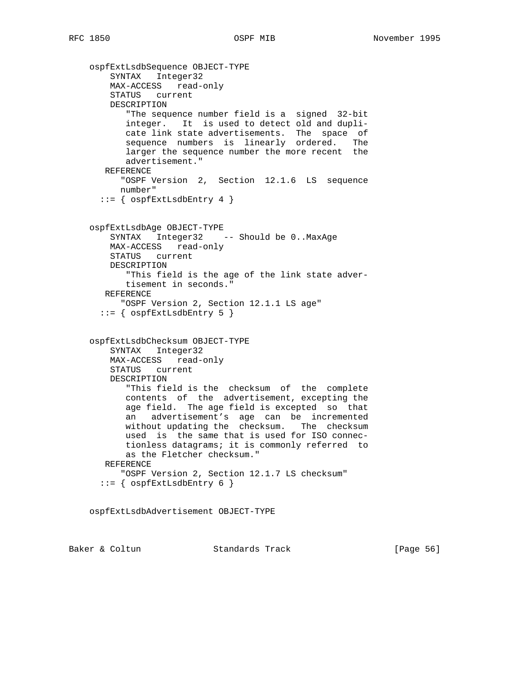ospfExtLsdbSequence OBJECT-TYPE SYNTAX Integer32 MAX-ACCESS read-only STATUS current DESCRIPTION "The sequence number field is a signed 32-bit integer. It is used to detect old and dupli cate link state advertisements. The space of sequence numbers is linearly ordered. The larger the sequence number the more recent the advertisement." REFERENCE "OSPF Version 2, Section 12.1.6 LS sequence number"  $::=$  {  $ospfExtLsdbEntry 4$  } ospfExtLsdbAge OBJECT-TYPE SYNTAX Integer32 -- Should be 0..MaxAge MAX-ACCESS read-only STATUS current DESCRIPTION "This field is the age of the link state adver tisement in seconds." REFERENCE "OSPF Version 2, Section 12.1.1 LS age"  $::=$  {  $ospfExtLsdbEntry 5$  } ospfExtLsdbChecksum OBJECT-TYPE SYNTAX Integer32 MAX-ACCESS read-only STATUS current DESCRIPTION "This field is the checksum of the complete contents of the advertisement, excepting the age field. The age field is excepted so that an advertisement's age can be incremented without updating the checksum. The checksum used is the same that is used for ISO connec tionless datagrams; it is commonly referred to as the Fletcher checksum." REFERENCE "OSPF Version 2, Section 12.1.7 LS checksum"  $::=$  {  $ospExtLsdbEntry 6$  }

ospfExtLsdbAdvertisement OBJECT-TYPE

Baker & Coltun **Standards Track** [Page 56]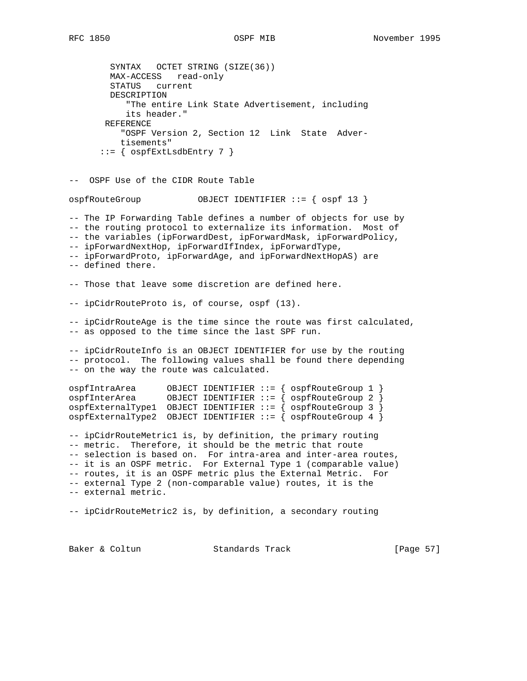SYNTAX OCTET STRING (SIZE(36)) MAX-ACCESS read-only STATUS current DESCRIPTION "The entire Link State Advertisement, including its header." REFERENCE "OSPF Version 2, Section 12 Link State Adver tisements"  $::=$  {  $ospfExtLsdbEntry$  7 } -- OSPF Use of the CIDR Route Table ospfRouteGroup OBJECT IDENTIFIER ::= { ospf 13 } -- The IP Forwarding Table defines a number of objects for use by -- the routing protocol to externalize its information. Most of -- the variables (ipForwardDest, ipForwardMask, ipForwardPolicy, -- ipForwardNextHop, ipForwardIfIndex, ipForwardType, -- ipForwardProto, ipForwardAge, and ipForwardNextHopAS) are -- defined there. -- Those that leave some discretion are defined here. -- ipCidrRouteProto is, of course, ospf (13). -- ipCidrRouteAge is the time since the route was first calculated, -- as opposed to the time since the last SPF run. -- ipCidrRouteInfo is an OBJECT IDENTIFIER for use by the routing -- protocol. The following values shall be found there depending -- on the way the route was calculated. ospfIntraArea OBJECT IDENTIFIER ::= { ospfRouteGroup 1 } ospfInterArea OBJECT IDENTIFIER ::= { ospfRouteGroup 2 } ospfExternalType1 OBJECT IDENTIFIER ::= { ospfRouteGroup 3 } ospfExternalType2 OBJECT IDENTIFIER ::= { ospfRouteGroup 4 } -- ipCidrRouteMetric1 is, by definition, the primary routing -- metric. Therefore, it should be the metric that route -- selection is based on. For intra-area and inter-area routes, -- it is an OSPF metric. For External Type 1 (comparable value) -- routes, it is an OSPF metric plus the External Metric. For -- external Type 2 (non-comparable value) routes, it is the -- external metric. -- ipCidrRouteMetric2 is, by definition, a secondary routing

Baker & Coltun Standards Track [Page 57]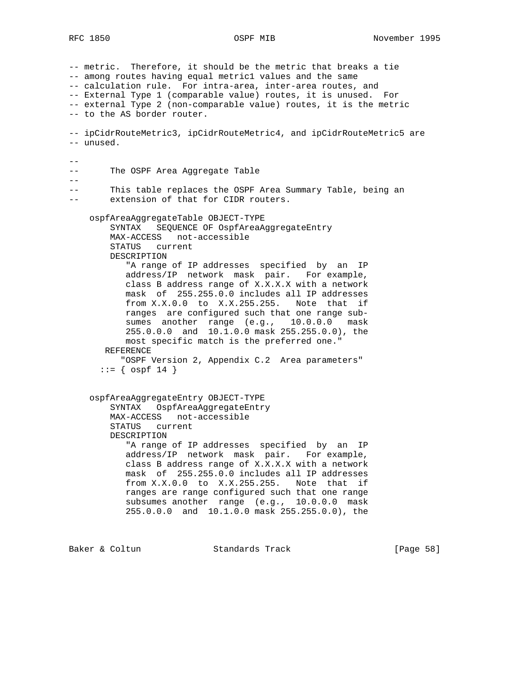-- metric. Therefore, it should be the metric that breaks a tie -- among routes having equal metric1 values and the same -- calculation rule. For intra-area, inter-area routes, and -- External Type 1 (comparable value) routes, it is unused. For -- external Type 2 (non-comparable value) routes, it is the metric -- to the AS border router. -- ipCidrRouteMetric3, ipCidrRouteMetric4, and ipCidrRouteMetric5 are -- unused. -- -- The OSPF Area Aggregate Table  $-$ -- This table replaces the OSPF Area Summary Table, being an -- extension of that for CIDR routers. ospfAreaAggregateTable OBJECT-TYPE SYNTAX SEQUENCE OF OspfAreaAggregateEntry MAX-ACCESS not-accessible STATUS current DESCRIPTION "A range of IP addresses specified by an IP address/IP network mask pair. For example, class B address range of X.X.X.X with a network mask of 255.255.0.0 includes all IP addresses from X.X.0.0 to X.X.255.255. Note that if ranges are configured such that one range sub sumes another range (e.g., 10.0.0.0 mask 255.0.0.0 and 10.1.0.0 mask 255.255.0.0), the most specific match is the preferred one." REFERENCE "OSPF Version 2, Appendix C.2 Area parameters"  $::=$  {  $ospf 14$  } ospfAreaAggregateEntry OBJECT-TYPE SYNTAX OspfAreaAggregateEntry MAX-ACCESS not-accessible STATUS current DESCRIPTION "A range of IP addresses specified by an IP address/IP network mask pair. For example, class B address range of X.X.X.X with a network mask of 255.255.0.0 includes all IP addresses from X.X.0.0 to X.X.255.255. Note that if ranges are range configured such that one range subsumes another range (e.g., 10.0.0.0 mask 255.0.0.0 and 10.1.0.0 mask 255.255.0.0), the

Baker & Coltun **Standards Track** [Page 58]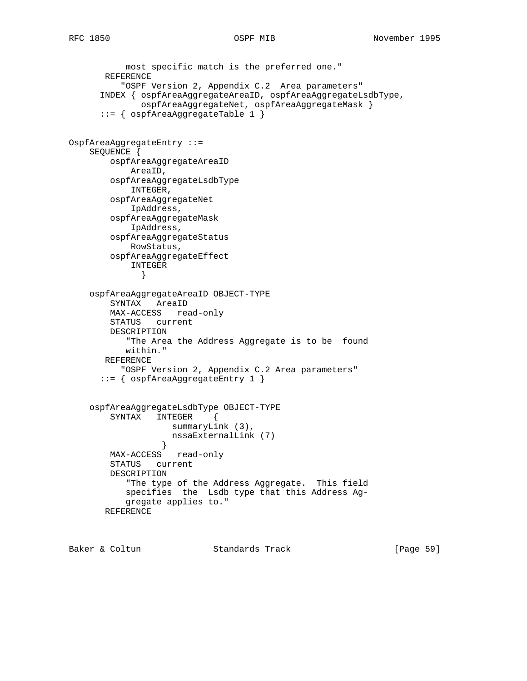```
 most specific match is the preferred one."
       REFERENCE
           "OSPF Version 2, Appendix C.2 Area parameters"
       INDEX { ospfAreaAggregateAreaID, ospfAreaAggregateLsdbType,
              ospfAreaAggregateNet, ospfAreaAggregateMask }
       ::= { ospfAreaAggregateTable 1 }
OspfAreaAggregateEntry ::=
     SEQUENCE {
        ospfAreaAggregateAreaID
            AreaID,
        ospfAreaAggregateLsdbType
            INTEGER,
        ospfAreaAggregateNet
            IpAddress,
        ospfAreaAggregateMask
            IpAddress,
         ospfAreaAggregateStatus
            RowStatus,
         ospfAreaAggregateEffect
            INTEGER
 }
     ospfAreaAggregateAreaID OBJECT-TYPE
         SYNTAX AreaID
        MAX-ACCESS read-only
        STATUS current
        DESCRIPTION
            "The Area the Address Aggregate is to be found
           within."
       REFERENCE
          "OSPF Version 2, Appendix C.2 Area parameters"
       ::= { ospfAreaAggregateEntry 1 }
     ospfAreaAggregateLsdbType OBJECT-TYPE
        SYNTAX INTEGER {
                   summaryLink (3),
                    nssaExternalLink (7)
 }
        MAX-ACCESS read-only
        STATUS current
        DESCRIPTION
            "The type of the Address Aggregate. This field
           specifies the Lsdb type that this Address Ag-
           gregate applies to."
       REFERENCE
```
Baker & Coltun **Standards Track** [Page 59]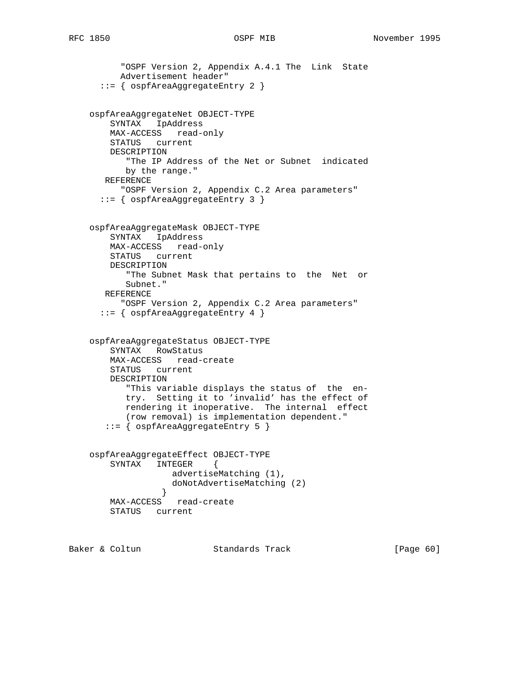```
 "OSPF Version 2, Appendix A.4.1 The Link State
       Advertisement header"
   ::= { ospfAreaAggregateEntry 2 }
 ospfAreaAggregateNet OBJECT-TYPE
    SYNTAX IpAddress
    MAX-ACCESS read-only
    STATUS current
    DESCRIPTION
        "The IP Address of the Net or Subnet indicated
       by the range."
   REFERENCE
      "OSPF Version 2, Appendix C.2 Area parameters"
   ::= { ospfAreaAggregateEntry 3 }
 ospfAreaAggregateMask OBJECT-TYPE
    SYNTAX IpAddress
    MAX-ACCESS read-only
    STATUS current
    DESCRIPTION
```

```
 "The Subnet Mask that pertains to the Net or
     Subnet."
 REFERENCE
    "OSPF Version 2, Appendix C.2 Area parameters"
```

```
 ::= { ospfAreaAggregateEntry 4 }
```

```
 ospfAreaAggregateStatus OBJECT-TYPE
    SYNTAX RowStatus
    MAX-ACCESS read-create
    STATUS current
    DESCRIPTION
        "This variable displays the status of the en-
       try. Setting it to 'invalid' has the effect of
       rendering it inoperative. The internal effect
        (row removal) is implementation dependent."
    ::= { ospfAreaAggregateEntry 5 }
```

```
 ospfAreaAggregateEffect OBJECT-TYPE
       SYNTAX INTEGER {
                 advertiseMatching (1),
                 doNotAdvertiseMatching (2)
 }
       MAX-ACCESS read-create
       STATUS current
```
Baker & Coltun **Standards Track** [Page 60]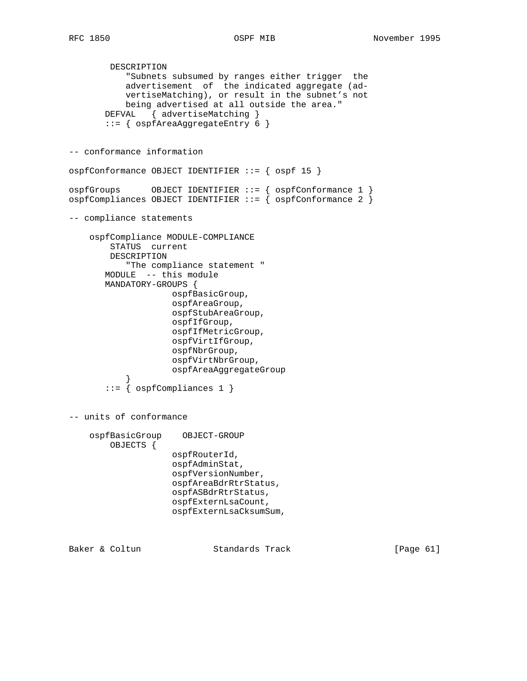```
 DESCRIPTION
            "Subnets subsumed by ranges either trigger the
           advertisement of the indicated aggregate (ad-
           vertiseMatching), or result in the subnet's not
           being advertised at all outside the area."
      DEFVAL { advertiseMatching }
        ::= { ospfAreaAggregateEntry 6 }
-- conformance information
ospfConformance OBJECT IDENTIFIER ::= { ospf 15 }
ospfGroups OBJECT IDENTIFIER ::= { ospfConformance 1 }
ospfCompliances OBJECT IDENTIFIER ::= { ospfConformance 2 }
-- compliance statements
     ospfCompliance MODULE-COMPLIANCE
        STATUS current
        DESCRIPTION
            "The compliance statement "
       MODULE -- this module
       MANDATORY-GROUPS {
                    ospfBasicGroup,
                    ospfAreaGroup,
                    ospfStubAreaGroup,
                    ospfIfGroup,
                    ospfIfMetricGroup,
                    ospfVirtIfGroup,
                    ospfNbrGroup,
                    ospfVirtNbrGroup,
                    ospfAreaAggregateGroup
 }
        ::= { ospfCompliances 1 }
-- units of conformance
     ospfBasicGroup OBJECT-GROUP
        OBJECTS {
                    ospfRouterId,
                    ospfAdminStat,
                     ospfVersionNumber,
                    ospfAreaBdrRtrStatus,
                    ospfASBdrRtrStatus,
                    ospfExternLsaCount,
                    ospfExternLsaCksumSum,
Baker & Coltun Standards Track [Page 61]
```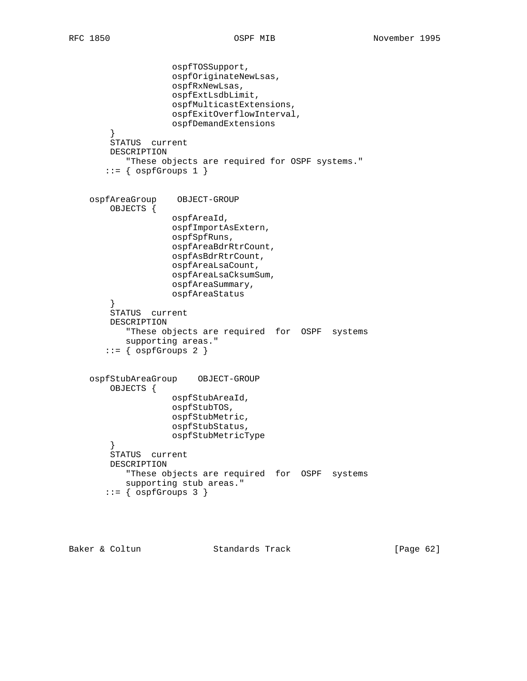```
 ospfTOSSupport,
                     ospfOriginateNewLsas,
                     ospfRxNewLsas,
                     ospfExtLsdbLimit,
                     ospfMulticastExtensions,
                     ospfExitOverflowInterval,
                     ospfDemandExtensions
 }
        STATUS current
        DESCRIPTION
           "These objects are required for OSPF systems."
       ::= { ospfGroups 1 }
    ospfAreaGroup OBJECT-GROUP
        OBJECTS {
                     ospfAreaId,
                     ospfImportAsExtern,
                     ospfSpfRuns,
                     ospfAreaBdrRtrCount,
                     ospfAsBdrRtrCount,
                     ospfAreaLsaCount,
                     ospfAreaLsaCksumSum,
                     ospfAreaSummary,
                    ospfAreaStatus
 }
        STATUS current
        DESCRIPTION
            "These objects are required for OSPF systems
           supporting areas."
       ::= { ospfGroups 2 }
    ospfStubAreaGroup OBJECT-GROUP
        OBJECTS {
                     ospfStubAreaId,
                     ospfStubTOS,
                     ospfStubMetric,
                     ospfStubStatus,
                    ospfStubMetricType
 }
        STATUS current
        DESCRIPTION
           "These objects are required for OSPF systems
           supporting stub areas."
       ::= { ospfGroups 3 }
```
Baker & Coltun Standards Track [Page 62]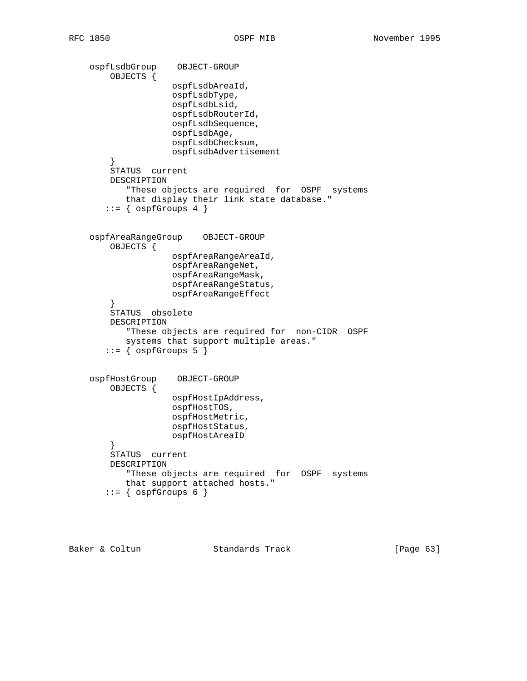```
 ospfLsdbGroup OBJECT-GROUP
        OBJECTS {
                    ospfLsdbAreaId,
                    ospfLsdbType,
                    ospfLsdbLsid,
                    ospfLsdbRouterId,
                    ospfLsdbSequence,
                    ospfLsdbAge,
                     ospfLsdbChecksum,
                    ospfLsdbAdvertisement
 }
        STATUS current
        DESCRIPTION
            "These objects are required for OSPF systems
           that display their link state database."
       ::= { ospfGroups 4 }
    ospfAreaRangeGroup OBJECT-GROUP
        OBJECTS {
                    ospfAreaRangeAreaId,
                    ospfAreaRangeNet,
                    ospfAreaRangeMask,
                    ospfAreaRangeStatus,
                    ospfAreaRangeEffect
 }
        STATUS obsolete
        DESCRIPTION
            "These objects are required for non-CIDR OSPF
           systems that support multiple areas."
       ::= { ospfGroups 5 }
    ospfHostGroup OBJECT-GROUP
        OBJECTS {
                    ospfHostIpAddress,
                    ospfHostTOS,
                    ospfHostMetric,
                    ospfHostStatus,
                    ospfHostAreaID
 }
        STATUS current
        DESCRIPTION
           "These objects are required for OSPF systems
           that support attached hosts."
       ::= { ospfGroups 6 }
```
Baker & Coltun Standards Track [Page 63]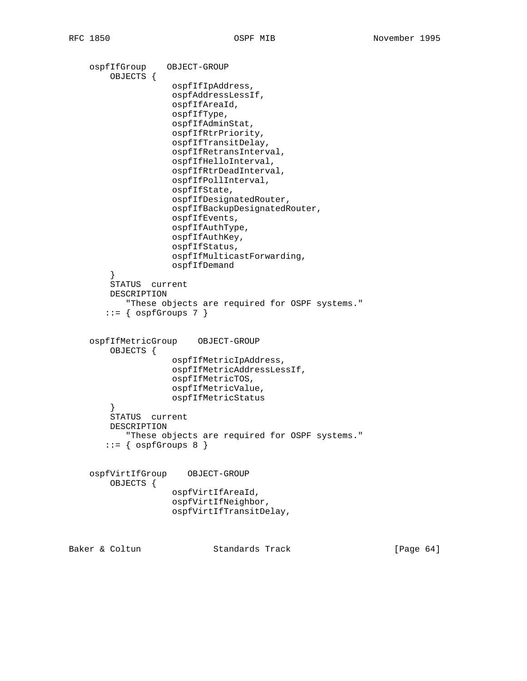```
 ospfIfGroup OBJECT-GROUP
         OBJECTS {
                    ospfIfIpAddress,
                     ospfAddressLessIf,
                     ospfIfAreaId,
                     ospfIfType,
                     ospfIfAdminStat,
                     ospfIfRtrPriority,
                     ospfIfTransitDelay,
                     ospfIfRetransInterval,
                     ospfIfHelloInterval,
                     ospfIfRtrDeadInterval,
                     ospfIfPollInterval,
                     ospfIfState,
                     ospfIfDesignatedRouter,
                     ospfIfBackupDesignatedRouter,
                     ospfIfEvents,
                     ospfIfAuthType,
                     ospfIfAuthKey,
                     ospfIfStatus,
                     ospfIfMulticastForwarding,
                     ospfIfDemand
 }
         STATUS current
        DESCRIPTION
            "These objects are required for OSPF systems."
       ::= { ospfGroups 7 }
     ospfIfMetricGroup OBJECT-GROUP
         OBJECTS {
                     ospfIfMetricIpAddress,
                     ospfIfMetricAddressLessIf,
                     ospfIfMetricTOS,
                     ospfIfMetricValue,
                    ospfIfMetricStatus
         }
         STATUS current
        DESCRIPTION
           "These objects are required for OSPF systems."
       ::= { ospfGroups 8 }
     ospfVirtIfGroup OBJECT-GROUP
         OBJECTS {
                     ospfVirtIfAreaId,
                     ospfVirtIfNeighbor,
                     ospfVirtIfTransitDelay,
Baker & Coltun Standards Track [Page 64]
```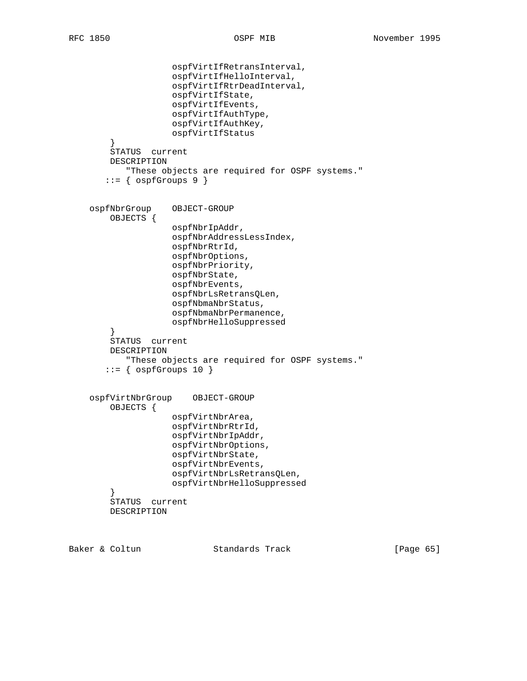```
 ospfVirtIfRetransInterval,
                     ospfVirtIfHelloInterval,
                     ospfVirtIfRtrDeadInterval,
                     ospfVirtIfState,
                     ospfVirtIfEvents,
                     ospfVirtIfAuthType,
                     ospfVirtIfAuthKey,
                     ospfVirtIfStatus
         }
         STATUS current
        DESCRIPTION
            "These objects are required for OSPF systems."
       ::= { ospfGroups 9 }
    ospfNbrGroup OBJECT-GROUP
        OBJECTS {
                     ospfNbrIpAddr,
                     ospfNbrAddressLessIndex,
                     ospfNbrRtrId,
                     ospfNbrOptions,
                     ospfNbrPriority,
                     ospfNbrState,
                     ospfNbrEvents,
                     ospfNbrLsRetransQLen,
                     ospfNbmaNbrStatus,
                     ospfNbmaNbrPermanence,
                     ospfNbrHelloSuppressed
 }
         STATUS current
        DESCRIPTION
            "These objects are required for OSPF systems."
       ::= { ospfGroups 10 }
    ospfVirtNbrGroup OBJECT-GROUP
         OBJECTS {
                     ospfVirtNbrArea,
                     ospfVirtNbrRtrId,
                     ospfVirtNbrIpAddr,
                     ospfVirtNbrOptions,
                     ospfVirtNbrState,
                     ospfVirtNbrEvents,
                     ospfVirtNbrLsRetransQLen,
                     ospfVirtNbrHelloSuppressed
 }
         STATUS current
        DESCRIPTION
```
Baker & Coltun Standards Track [Page 65]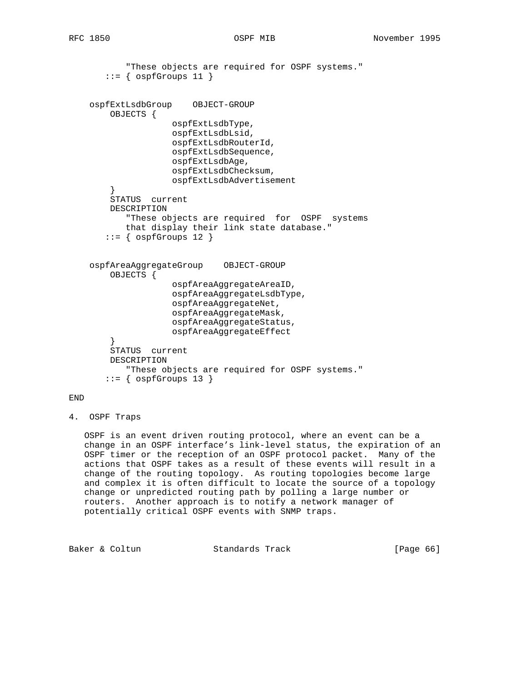```
 "These objects are required for OSPF systems."
       ::= { ospfGroups 11 }
    ospfExtLsdbGroup OBJECT-GROUP
         OBJECTS {
                     ospfExtLsdbType,
                     ospfExtLsdbLsid,
                     ospfExtLsdbRouterId,
                     ospfExtLsdbSequence,
                     ospfExtLsdbAge,
                     ospfExtLsdbChecksum,
                     ospfExtLsdbAdvertisement
 }
         STATUS current
        DESCRIPTION
            "These objects are required for OSPF systems
           that display their link state database."
       ::= { ospfGroups 12 }
    ospfAreaAggregateGroup OBJECT-GROUP
        OBJECTS {
                     ospfAreaAggregateAreaID,
                     ospfAreaAggregateLsdbType,
                     ospfAreaAggregateNet,
                     ospfAreaAggregateMask,
                     ospfAreaAggregateStatus,
                     ospfAreaAggregateEffect
         }
        STATUS current
        DESCRIPTION
            "These objects are required for OSPF systems."
       ::= { ospfGroups 13 }
```
## END

4. OSPF Traps

 OSPF is an event driven routing protocol, where an event can be a change in an OSPF interface's link-level status, the expiration of an OSPF timer or the reception of an OSPF protocol packet. Many of the actions that OSPF takes as a result of these events will result in a change of the routing topology. As routing topologies become large and complex it is often difficult to locate the source of a topology change or unpredicted routing path by polling a large number or routers. Another approach is to notify a network manager of potentially critical OSPF events with SNMP traps.

Baker & Coltun **Standards Track** [Page 66]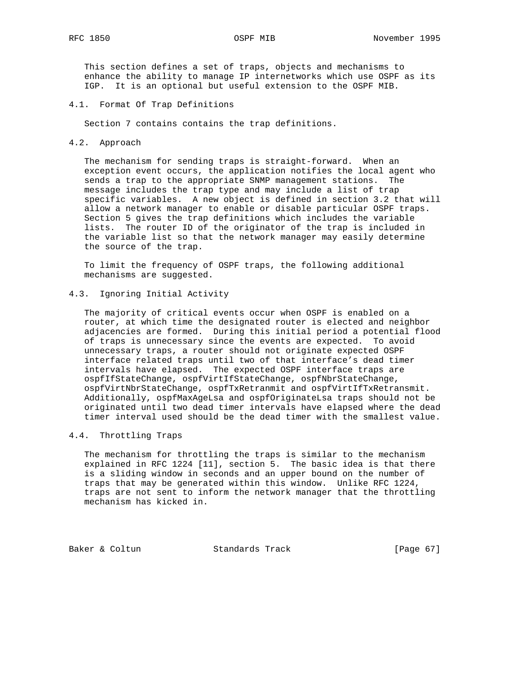This section defines a set of traps, objects and mechanisms to enhance the ability to manage IP internetworks which use OSPF as its IGP. It is an optional but useful extension to the OSPF MIB.

## 4.1. Format Of Trap Definitions

Section 7 contains contains the trap definitions.

### 4.2. Approach

 The mechanism for sending traps is straight-forward. When an exception event occurs, the application notifies the local agent who sends a trap to the appropriate SNMP management stations. The message includes the trap type and may include a list of trap specific variables. A new object is defined in section 3.2 that will allow a network manager to enable or disable particular OSPF traps. Section 5 gives the trap definitions which includes the variable lists. The router ID of the originator of the trap is included in the variable list so that the network manager may easily determine the source of the trap.

 To limit the frequency of OSPF traps, the following additional mechanisms are suggested.

# 4.3. Ignoring Initial Activity

 The majority of critical events occur when OSPF is enabled on a router, at which time the designated router is elected and neighbor adjacencies are formed. During this initial period a potential flood of traps is unnecessary since the events are expected. To avoid unnecessary traps, a router should not originate expected OSPF interface related traps until two of that interface's dead timer intervals have elapsed. The expected OSPF interface traps are ospfIfStateChange, ospfVirtIfStateChange, ospfNbrStateChange, ospfVirtNbrStateChange, ospfTxRetranmit and ospfVirtIfTxRetransmit. Additionally, ospfMaxAgeLsa and ospfOriginateLsa traps should not be originated until two dead timer intervals have elapsed where the dead timer interval used should be the dead timer with the smallest value.

# 4.4. Throttling Traps

 The mechanism for throttling the traps is similar to the mechanism explained in RFC 1224 [11], section 5. The basic idea is that there is a sliding window in seconds and an upper bound on the number of traps that may be generated within this window. Unlike RFC 1224, traps are not sent to inform the network manager that the throttling mechanism has kicked in.

Baker & Coltun Standards Track [Page 67]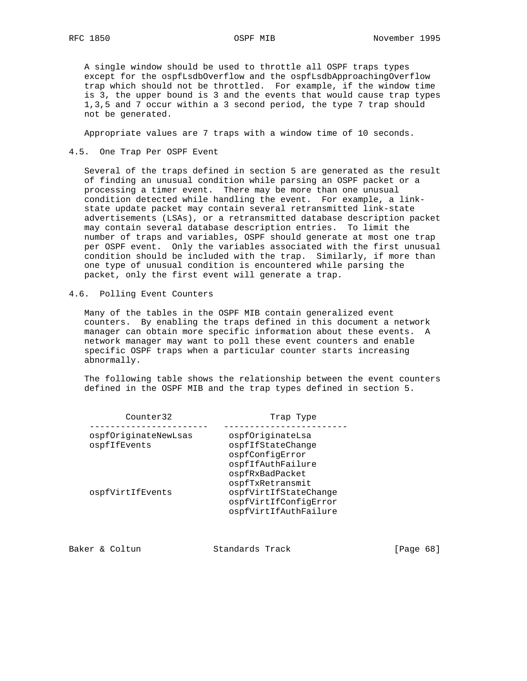A single window should be used to throttle all OSPF traps types except for the ospfLsdbOverflow and the ospfLsdbApproachingOverflow trap which should not be throttled. For example, if the window time is 3, the upper bound is 3 and the events that would cause trap types 1,3,5 and 7 occur within a 3 second period, the type 7 trap should not be generated.

Appropriate values are 7 traps with a window time of 10 seconds.

4.5. One Trap Per OSPF Event

 Several of the traps defined in section 5 are generated as the result of finding an unusual condition while parsing an OSPF packet or a processing a timer event. There may be more than one unusual condition detected while handling the event. For example, a link state update packet may contain several retransmitted link-state advertisements (LSAs), or a retransmitted database description packet may contain several database description entries. To limit the number of traps and variables, OSPF should generate at most one trap per OSPF event. Only the variables associated with the first unusual condition should be included with the trap. Similarly, if more than one type of unusual condition is encountered while parsing the packet, only the first event will generate a trap.

4.6. Polling Event Counters

 Many of the tables in the OSPF MIB contain generalized event counters. By enabling the traps defined in this document a network manager can obtain more specific information about these events. A network manager may want to poll these event counters and enable specific OSPF traps when a particular counter starts increasing abnormally.

 The following table shows the relationship between the event counters defined in the OSPF MIB and the trap types defined in section 5.

| Counter32                            | Trap Type                                                                                        |  |  |
|--------------------------------------|--------------------------------------------------------------------------------------------------|--|--|
| ospfOriginateNewLsas<br>ospfIfEvents | ospfOriginateLsa<br>ospfIfStateChange<br>ospfConfigError<br>ospfIfAuthFailure<br>ospfRxBadPacket |  |  |
| ospfVirtIfEvents                     | ospfTxRetransmit<br>ospfVirtIfStateChange<br>ospfVirtIfConfiqError<br>ospfVirtIfAuthFailure      |  |  |

|  | Baker & Coltun | Standards Track | [Page 68] |  |
|--|----------------|-----------------|-----------|--|
|  |                |                 |           |  |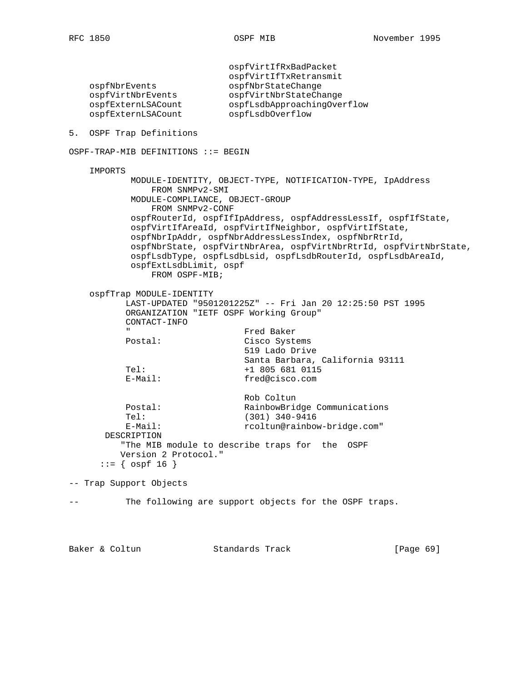ospfVirtIfRxBadPacket ospfVirtIfTxRetransmit ospfNbrEvents ospfNbrStateChange ospfVirtNbrEvents ospfVirtNbrStateChange ospfExternLSACount ospfLsdbApproachingOverflow ospfExternLSACount ospfLsdbOverflow 5. OSPF Trap Definitions OSPF-TRAP-MIB DEFINITIONS ::= BEGIN IMPORTS MODULE-IDENTITY, OBJECT-TYPE, NOTIFICATION-TYPE, IpAddress FROM SNMPv2-SMI MODULE-COMPLIANCE, OBJECT-GROUP FROM SNMPv2-CONF ospfRouterId, ospfIfIpAddress, ospfAddressLessIf, ospfIfState, ospfVirtIfAreaId, ospfVirtIfNeighbor, ospfVirtIfState, ospfNbrIpAddr, ospfNbrAddressLessIndex, ospfNbrRtrId, ospfNbrState, ospfVirtNbrArea, ospfVirtNbrRtrId, ospfVirtNbrState, ospfLsdbType, ospfLsdbLsid, ospfLsdbRouterId, ospfLsdbAreaId, ospfExtLsdbLimit, ospf FROM OSPF-MIB; ospfTrap MODULE-IDENTITY LAST-UPDATED "9501201225Z" -- Fri Jan 20 12:25:50 PST 1995 ORGANIZATION "IETF OSPF Working Group" CONTACT-INFO " Fred Baker Cisco Systems 519 Lado Drive Santa Barbara, California 93111 Tel: +1 805 681 0115 E-Mail: fred@cisco.com Rob Coltun Postal: RainbowBridge Communications Tel: (301) 340-9416 E-Mail:  $\text{rcoltun}$ @rainbow-bridge.com" DESCRIPTION "The MIB module to describe traps for the OSPF Version 2 Protocol."  $::=$  {  $ospf 16$  } -- Trap Support Objects -- The following are support objects for the OSPF traps. Baker & Coltun **Standards Track** [Page 69]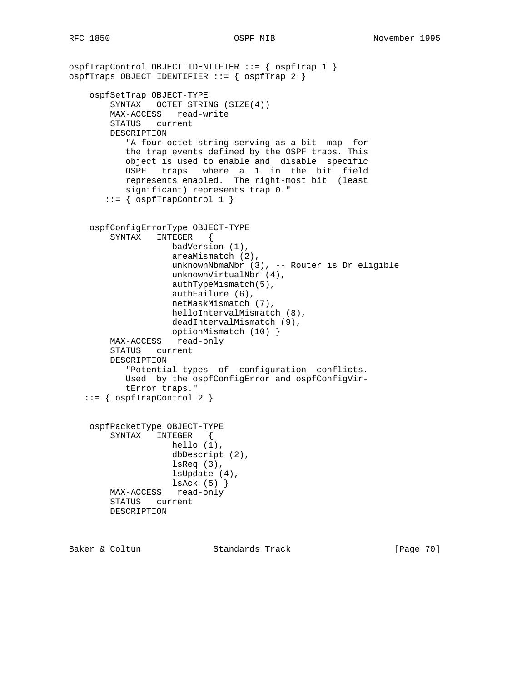```
ospfTrapControl OBJECT IDENTIFIER ::= { ospfTrap 1 }
ospfTraps OBJECT IDENTIFIER ::= { ospfTrap 2 }
    ospfSetTrap OBJECT-TYPE
        SYNTAX OCTET STRING (SIZE(4))
        MAX-ACCESS read-write
        STATUS current
        DESCRIPTION
            "A four-octet string serving as a bit map for
           the trap events defined by the OSPF traps. This
           object is used to enable and disable specific
           OSPF traps where a 1 in the bit field
           represents enabled. The right-most bit (least
           significant) represents trap 0."
       ::= { ospfTrapControl 1 }
    ospfConfigErrorType OBJECT-TYPE
        SYNTAX INTEGER {
                   badVersion (1),
                    areaMismatch (2),
                   unknownNbmaNbr (3), -- Router is Dr eligible
                    unknownVirtualNbr (4),
                    authTypeMismatch(5),
                    authFailure (6),
                    netMaskMismatch (7),
                    helloIntervalMismatch (8),
                    deadIntervalMismatch (9),
 optionMismatch (10) }
 MAX-ACCESS read-only
        STATUS current
        DESCRIPTION
            "Potential types of configuration conflicts.
           Used by the ospfConfigError and ospfConfigVir-
           tError traps."
    ::= { ospfTrapControl 2 }
    ospfPacketType OBJECT-TYPE
        SYNTAX INTEGER {
                   hello (1),
                    dbDescript (2),
                    lsReq (3),
                    lsUpdate (4),
                    lsAck (5) }
        MAX-ACCESS read-only
        STATUS current
        DESCRIPTION
```
Baker & Coltun **Standards Track** [Page 70]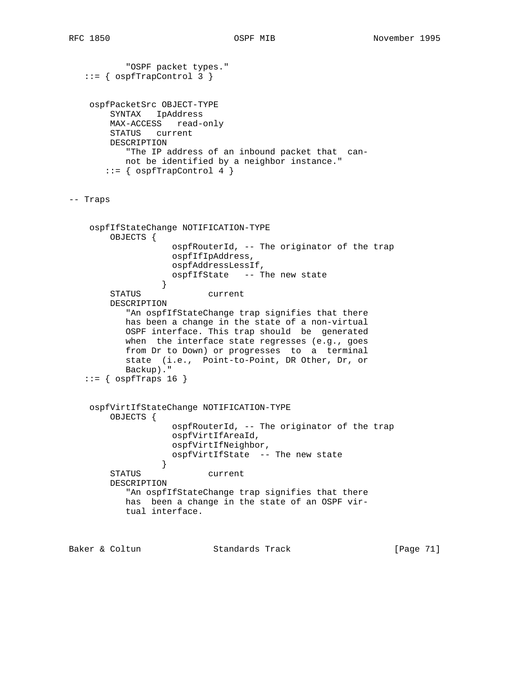```
 "OSPF packet types."
   ::= { ospfTrapControl 3 }
    ospfPacketSrc OBJECT-TYPE
        SYNTAX IpAddress
        MAX-ACCESS read-only
        STATUS current
        DESCRIPTION
           "The IP address of an inbound packet that can-
           not be identified by a neighbor instance."
      ::= { ospfTrapControl 4 }
-- Traps
    ospfIfStateChange NOTIFICATION-TYPE
        OBJECTS {
                    ospfRouterId, -- The originator of the trap
                    ospfIfIpAddress,
                    ospfAddressLessIf,
                 ospfIfState -- The new state }
 }
        STATUS current
        DESCRIPTION
           "An ospfIfStateChange trap signifies that there
           has been a change in the state of a non-virtual
           OSPF interface. This trap should be generated
          when the interface state regresses (e.g., goes
           from Dr to Down) or progresses to a terminal
           state (i.e., Point-to-Point, DR Other, Dr, or
           Backup)."
   ::= { ospfTraps 16 }
    ospfVirtIfStateChange NOTIFICATION-TYPE
        OBJECTS {
                    ospfRouterId, -- The originator of the trap
                    ospfVirtIfAreaId,
                    ospfVirtIfNeighbor,
                    ospfVirtIfState -- The new state
 }
        STATUS current
        DESCRIPTION
           "An ospfIfStateChange trap signifies that there
           has been a change in the state of an OSPF vir-
           tual interface.
```
Baker & Coltun Standards Track [Page 71]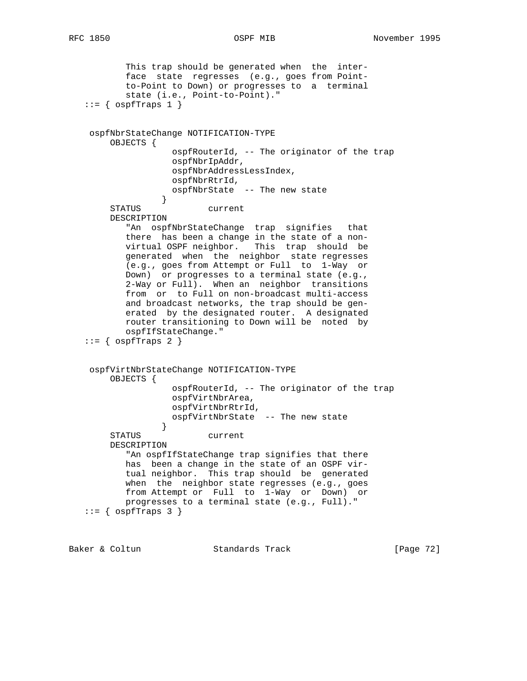```
 This trap should be generated when the inter-
           face state regresses (e.g., goes from Point-
           to-Point to Down) or progresses to a terminal
           state (i.e., Point-to-Point)."
  ::= { ospfTraps 1 }
    ospfNbrStateChange NOTIFICATION-TYPE
        OBJECTS {
                   ospfRouterId, -- The originator of the trap
                   ospfNbrIpAddr,
                   ospfNbrAddressLessIndex,
                   ospfNbrRtrId,
                    ospfNbrState -- The new state
 }
        STATUS current
        DESCRIPTION
           "An ospfNbrStateChange trap signifies that
           there has been a change in the state of a non-
           virtual OSPF neighbor. This trap should be
           generated when the neighbor state regresses
           (e.g., goes from Attempt or Full to 1-Way or
           Down) or progresses to a terminal state (e.g.,
           2-Way or Full). When an neighbor transitions
           from or to Full on non-broadcast multi-access
           and broadcast networks, the trap should be gen-
           erated by the designated router. A designated
           router transitioning to Down will be noted by
           ospfIfStateChange."
  ::= { ospfTraps 2 }
    ospfVirtNbrStateChange NOTIFICATION-TYPE
        OBJECTS {
                   ospfRouterId, -- The originator of the trap
                   ospfVirtNbrArea,
                   ospfVirtNbrRtrId,
                    ospfVirtNbrState -- The new state
 }
        STATUS current
        DESCRIPTION
          "An ospfIfStateChange trap signifies that there
           has been a change in the state of an OSPF vir-
           tual neighbor. This trap should be generated
          when the neighbor state regresses (e.g., goes
           from Attempt or Full to 1-Way or Down) or
           progresses to a terminal state (e.g., Full)."
  ::= { ospfTraps 3 }
```
Baker & Coltun **Standards Track** [Page 72]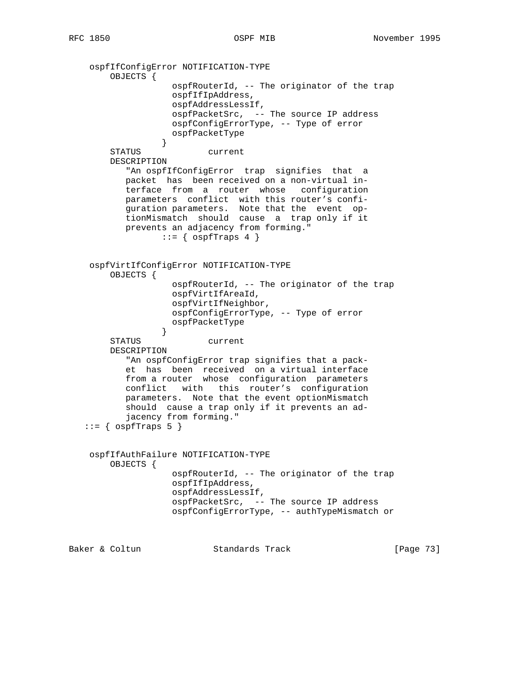```
 ospfIfConfigError NOTIFICATION-TYPE
        OBJECTS {
                   ospfRouterId, -- The originator of the trap
                   ospfIfIpAddress,
                   ospfAddressLessIf,
                   ospfPacketSrc, -- The source IP address
                   ospfConfigErrorType, -- Type of error
                   ospfPacketType
 }
        STATUS current
        DESCRIPTION
           "An ospfIfConfigError trap signifies that a
           packet has been received on a non-virtual in-
           terface from a router whose configuration
 parameters conflict with this router's confi-
 guration parameters. Note that the event op-
 tionMismatch should cause a trap only if it
           prevents an adjacency from forming."
                ::= { ospfTraps 4 }
    ospfVirtIfConfigError NOTIFICATION-TYPE
        OBJECTS {
                   ospfRouterId, -- The originator of the trap
                   ospfVirtIfAreaId,
                   ospfVirtIfNeighbor,
                   ospfConfigErrorType, -- Type of error
                   ospfPacketType
 }
        STATUS current
        DESCRIPTION
           "An ospfConfigError trap signifies that a pack-
           et has been received on a virtual interface
           from a router whose configuration parameters
           conflict with this router's configuration
           parameters. Note that the event optionMismatch
           should cause a trap only if it prevents an ad-
           jacency from forming."
  ::= { ospfTraps 5 }
    ospfIfAuthFailure NOTIFICATION-TYPE
        OBJECTS {
                   ospfRouterId, -- The originator of the trap
                   ospfIfIpAddress,
                   ospfAddressLessIf,
                   ospfPacketSrc, -- The source IP address
                   ospfConfigErrorType, -- authTypeMismatch or
```
Baker & Coltun **Standards Track** [Page 73]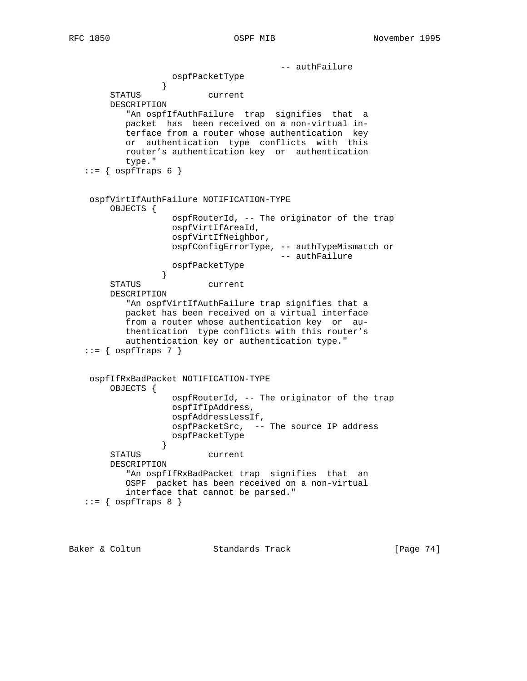```
 -- authFailure
                 ospfPacketType<br>}
 }
        STATUS current
        DESCRIPTION
           "An ospfIfAuthFailure trap signifies that a
           packet has been received on a non-virtual in-
           terface from a router whose authentication key
           or authentication type conflicts with this
           router's authentication key or authentication
           type."
  ::= { ospfTraps 6 }
    ospfVirtIfAuthFailure NOTIFICATION-TYPE
        OBJECTS {
                   ospfRouterId, -- The originator of the trap
                   ospfVirtIfAreaId,
                   ospfVirtIfNeighbor,
                   ospfConfigErrorType, -- authTypeMismatch or
                                       -- authFailure
                  ospfPacketType
 }
        STATUS current
        DESCRIPTION
           "An ospfVirtIfAuthFailure trap signifies that a
           packet has been received on a virtual interface
           from a router whose authentication key or au-
           thentication type conflicts with this router's
           authentication key or authentication type."
  ::= { ospfTraps 7 }
    ospfIfRxBadPacket NOTIFICATION-TYPE
        OBJECTS {
                   ospfRouterId, -- The originator of the trap
                   ospfIfIpAddress,
                   ospfAddressLessIf,
                   ospfPacketSrc, -- The source IP address
                   ospfPacketType
 }
        STATUS current
        DESCRIPTION
           "An ospfIfRxBadPacket trap signifies that an
           OSPF packet has been received on a non-virtual
           interface that cannot be parsed."
  ::= { ospfTraps 8 }
```
Baker & Coltun Standards Track [Page 74]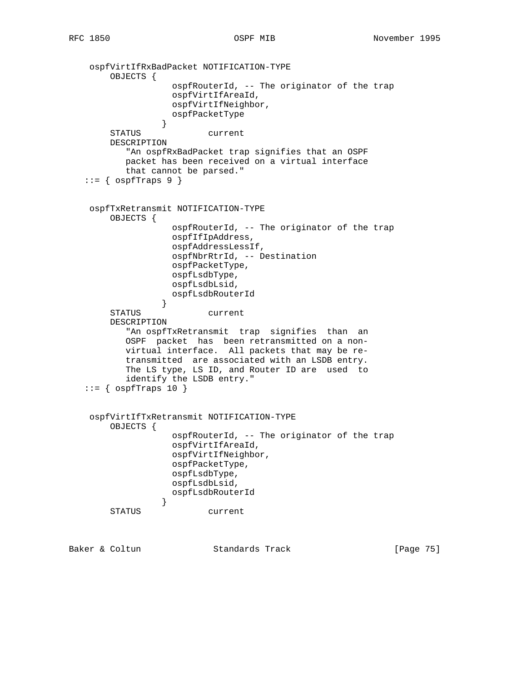```
 ospfVirtIfRxBadPacket NOTIFICATION-TYPE
        OBJECTS {
                    ospfRouterId, -- The originator of the trap
                   ospfVirtIfAreaId,
                   ospfVirtIfNeighbor,
                   ospfPacketType
 }
        STATUS current
        DESCRIPTION
           "An ospfRxBadPacket trap signifies that an OSPF
           packet has been received on a virtual interface
           that cannot be parsed."
  ::= { ospfTraps 9 }
    ospfTxRetransmit NOTIFICATION-TYPE
        OBJECTS {
                    ospfRouterId, -- The originator of the trap
                    ospfIfIpAddress,
                    ospfAddressLessIf,
                   ospfNbrRtrId, -- Destination
                   ospfPacketType,
                   ospfLsdbType,
                   ospfLsdbLsid,
                   ospfLsdbRouterId
 }
        STATUS current
        DESCRIPTION
           "An ospfTxRetransmit trap signifies than an
           OSPF packet has been retransmitted on a non-
           virtual interface. All packets that may be re-
           transmitted are associated with an LSDB entry.
           The LS type, LS ID, and Router ID are used to
           identify the LSDB entry."
  ::= { ospfTraps 10 }
    ospfVirtIfTxRetransmit NOTIFICATION-TYPE
        OBJECTS {
                    ospfRouterId, -- The originator of the trap
                    ospfVirtIfAreaId,
                    ospfVirtIfNeighbor,
                    ospfPacketType,
                    ospfLsdbType,
                    ospfLsdbLsid,
                  ospfLsdbRouterId
 }
        STATUS current
```
Baker & Coltun Standards Track [Page 75]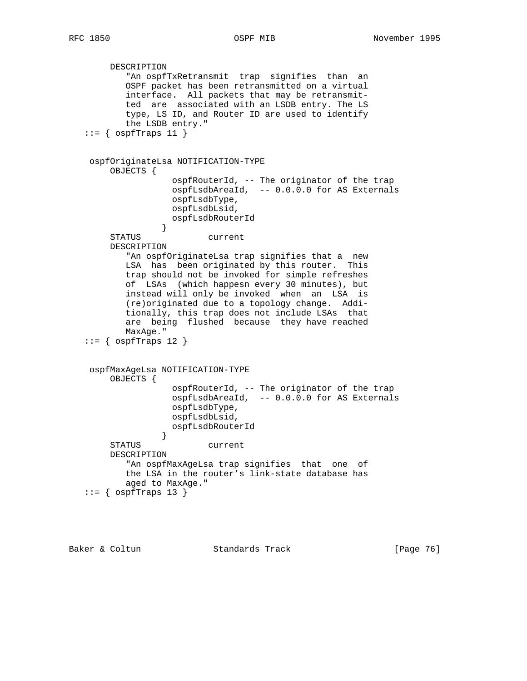```
 DESCRIPTION
           "An ospfTxRetransmit trap signifies than an
           OSPF packet has been retransmitted on a virtual
           interface. All packets that may be retransmit-
           ted are associated with an LSDB entry. The LS
           type, LS ID, and Router ID are used to identify
           the LSDB entry."
  ::= { ospfTraps 11 }
    ospfOriginateLsa NOTIFICATION-TYPE
        OBJECTS {
                    ospfRouterId, -- The originator of the trap
                    ospfLsdbAreaId, -- 0.0.0.0 for AS Externals
                    ospfLsdbType,
                   ospfLsdbLsid,
                   ospfLsdbRouterId
 }
        STATUS current
        DESCRIPTION
           "An ospfOriginateLsa trap signifies that a new
           LSA has been originated by this router. This
           trap should not be invoked for simple refreshes
           of LSAs (which happesn every 30 minutes), but
           instead will only be invoked when an LSA is
           (re)originated due to a topology change. Addi-
           tionally, this trap does not include LSAs that
           are being flushed because they have reached
           MaxAge."
  ::= { ospfTraps 12 }
    ospfMaxAgeLsa NOTIFICATION-TYPE
        OBJECTS {
                    ospfRouterId, -- The originator of the trap
                    ospfLsdbAreaId, -- 0.0.0.0 for AS Externals
                    ospfLsdbType,
                    ospfLsdbLsid,
                    ospfLsdbRouterId
 }
        STATUS current
        DESCRIPTION
           "An ospfMaxAgeLsa trap signifies that one of
           the LSA in the router's link-state database has
           aged to MaxAge."
  ::= { ospfTraps 13 }
```
Baker & Coltun Standards Track [Page 76]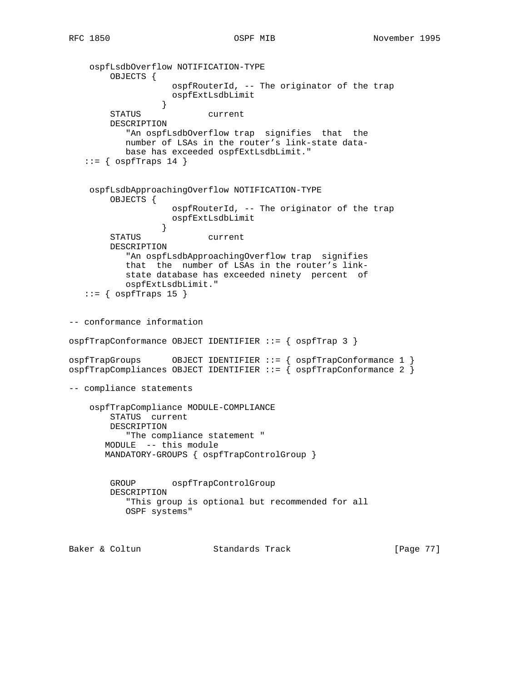```
 ospfLsdbOverflow NOTIFICATION-TYPE
        OBJECTS {
                    ospfRouterId, -- The originator of the trap
                   ospfExtLsdbLimit
 }
        STATUS current
        DESCRIPTION
           "An ospfLsdbOverflow trap signifies that the
           number of LSAs in the router's link-state data-
           base has exceeded ospfExtLsdbLimit."
   ::= { ospfTraps 14 }
    ospfLsdbApproachingOverflow NOTIFICATION-TYPE
        OBJECTS {
                   ospfRouterId, -- The originator of the trap
                   ospfExtLsdbLimit
 }
        STATUS current
        DESCRIPTION
           "An ospfLsdbApproachingOverflow trap signifies
           that the number of LSAs in the router's link-
           state database has exceeded ninety percent of
           ospfExtLsdbLimit."
   ::= { ospfTraps 15 }
-- conformance information
ospfTrapConformance OBJECT IDENTIFIER ::= { ospfTrap 3 }
ospfTrapGroups OBJECT IDENTIFIER ::= { ospfTrapConformance 1 }
ospfTrapCompliances OBJECT IDENTIFIER ::= { ospfTrapConformance 2 }
-- compliance statements
    ospfTrapCompliance MODULE-COMPLIANCE
        STATUS current
        DESCRIPTION
           "The compliance statement "
       MODULE -- this module
       MANDATORY-GROUPS { ospfTrapControlGroup }
        GROUP ospfTrapControlGroup
        DESCRIPTION
           "This group is optional but recommended for all
           OSPF systems"
Baker & Coltun Standards Track [Page 77]
```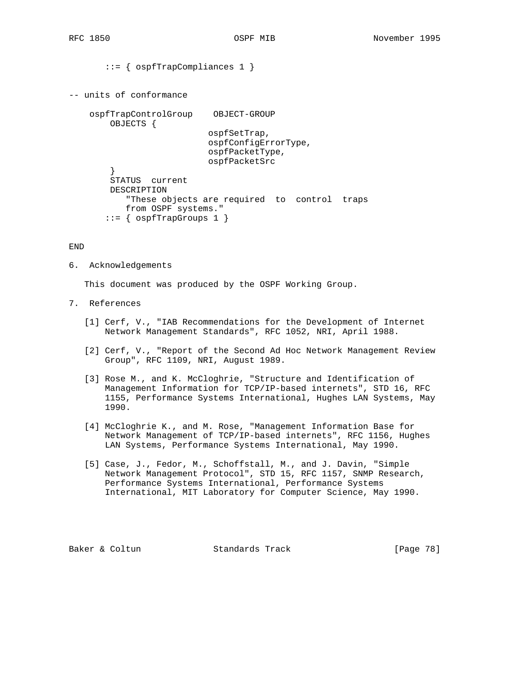```
 ::= { ospfTrapCompliances 1 }
-- units of conformance
     ospfTrapControlGroup OBJECT-GROUP
         OBJECTS {
                            ospfSetTrap,
                            ospfConfigErrorType,
                            ospfPacketType,
                            ospfPacketSrc
         }
         STATUS current
         DESCRIPTION
            "These objects are required to control traps
            from OSPF systems."
       ::= { ospfTrapGroups 1 }
```
## END

6. Acknowledgements

This document was produced by the OSPF Working Group.

- 7. References
	- [1] Cerf, V., "IAB Recommendations for the Development of Internet Network Management Standards", RFC 1052, NRI, April 1988.
	- [2] Cerf, V., "Report of the Second Ad Hoc Network Management Review Group", RFC 1109, NRI, August 1989.
	- [3] Rose M., and K. McCloghrie, "Structure and Identification of Management Information for TCP/IP-based internets", STD 16, RFC 1155, Performance Systems International, Hughes LAN Systems, May 1990.
	- [4] McCloghrie K., and M. Rose, "Management Information Base for Network Management of TCP/IP-based internets", RFC 1156, Hughes LAN Systems, Performance Systems International, May 1990.
	- [5] Case, J., Fedor, M., Schoffstall, M., and J. Davin, "Simple Network Management Protocol", STD 15, RFC 1157, SNMP Research, Performance Systems International, Performance Systems International, MIT Laboratory for Computer Science, May 1990.

Baker & Coltun Standards Track [Page 78]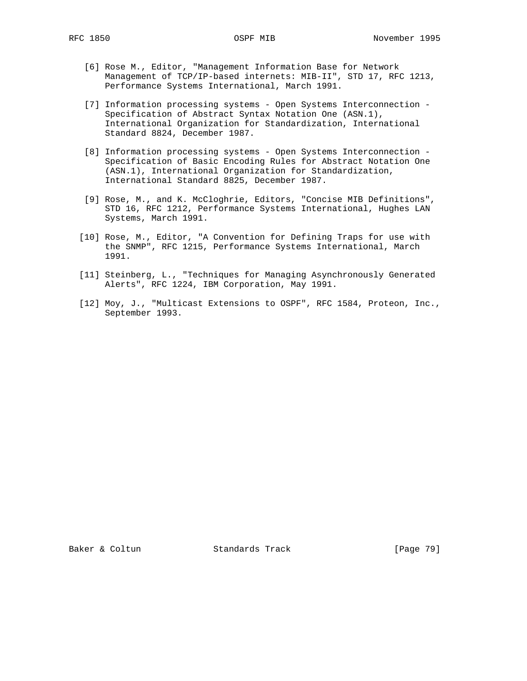- [6] Rose M., Editor, "Management Information Base for Network Management of TCP/IP-based internets: MIB-II", STD 17, RFC 1213, Performance Systems International, March 1991.
- [7] Information processing systems Open Systems Interconnection Specification of Abstract Syntax Notation One (ASN.1), International Organization for Standardization, International Standard 8824, December 1987.
- [8] Information processing systems Open Systems Interconnection Specification of Basic Encoding Rules for Abstract Notation One (ASN.1), International Organization for Standardization, International Standard 8825, December 1987.
- [9] Rose, M., and K. McCloghrie, Editors, "Concise MIB Definitions", STD 16, RFC 1212, Performance Systems International, Hughes LAN Systems, March 1991.
- [10] Rose, M., Editor, "A Convention for Defining Traps for use with the SNMP", RFC 1215, Performance Systems International, March 1991.
- [11] Steinberg, L., "Techniques for Managing Asynchronously Generated Alerts", RFC 1224, IBM Corporation, May 1991.
- [12] Moy, J., "Multicast Extensions to OSPF", RFC 1584, Proteon, Inc., September 1993.

Baker & Coltun Standards Track [Page 79]